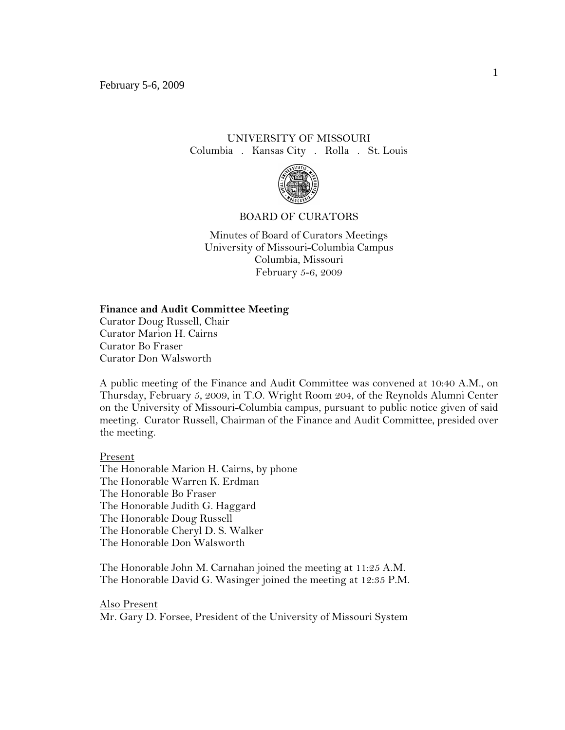# UNIVERSITY OF MISSOURI Columbia . Kansas City . Rolla . St. Louis



#### BOARD OF CURATORS

Minutes of Board of Curators Meetings University of Missouri-Columbia Campus Columbia, Missouri February 5-6, 2009

### **Finance and Audit Committee Meeting**

Curator Doug Russell, Chair Curator Marion H. Cairns Curator Bo Fraser Curator Don Walsworth

A public meeting of the Finance and Audit Committee was convened at 10:40 A.M., on Thursday, February 5, 2009, in T.O. Wright Room 204, of the Reynolds Alumni Center on the University of Missouri-Columbia campus, pursuant to public notice given of said meeting. Curator Russell, Chairman of the Finance and Audit Committee, presided over the meeting.

#### Present

The Honorable Marion H. Cairns, by phone The Honorable Warren K. Erdman The Honorable Bo Fraser The Honorable Judith G. Haggard The Honorable Doug Russell The Honorable Cheryl D. S. Walker The Honorable Don Walsworth

The Honorable John M. Carnahan joined the meeting at 11:25 A.M. The Honorable David G. Wasinger joined the meeting at 12:35 P.M.

Also Present Mr. Gary D. Forsee, President of the University of Missouri System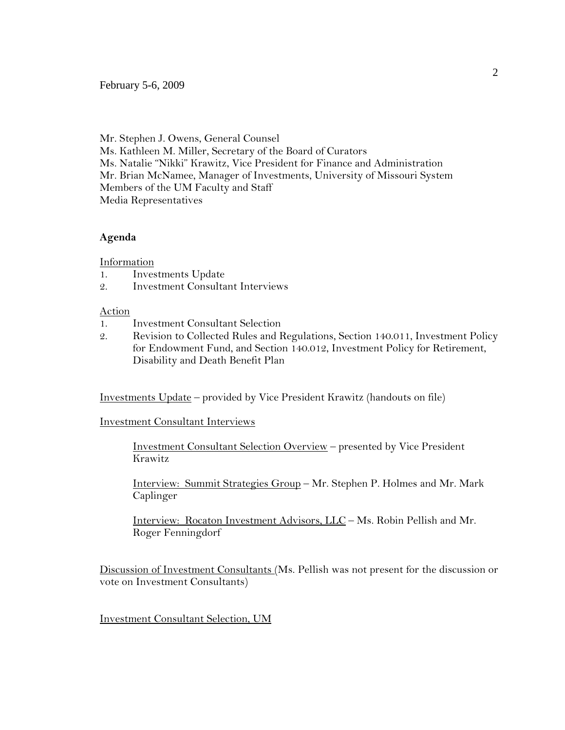February 5-6, 2009

Mr. Stephen J. Owens, General Counsel Ms. Kathleen M. Miller, Secretary of the Board of Curators Ms. Natalie "Nikki" Krawitz, Vice President for Finance and Administration Mr. Brian McNamee, Manager of Investments, University of Missouri System Members of the UM Faculty and Staff Media Representatives

## **Agenda**

Information

- 1. Investments Update
- 2. Investment Consultant Interviews

### Action

- 1. Investment Consultant Selection
- 2. Revision to Collected Rules and Regulations, Section 140.011, Investment Policy for Endowment Fund, and Section 140.012, Investment Policy for Retirement, Disability and Death Benefit Plan

Investments Update – provided by Vice President Krawitz (handouts on file)

Investment Consultant Interviews

Investment Consultant Selection Overview – presented by Vice President Krawitz

Interview: Summit Strategies Group – Mr. Stephen P. Holmes and Mr. Mark Caplinger

Interview: Rocaton Investment Advisors, LLC – Ms. Robin Pellish and Mr. Roger Fenningdorf

Discussion of Investment Consultants (Ms. Pellish was not present for the discussion or vote on Investment Consultants)

Investment Consultant Selection, UM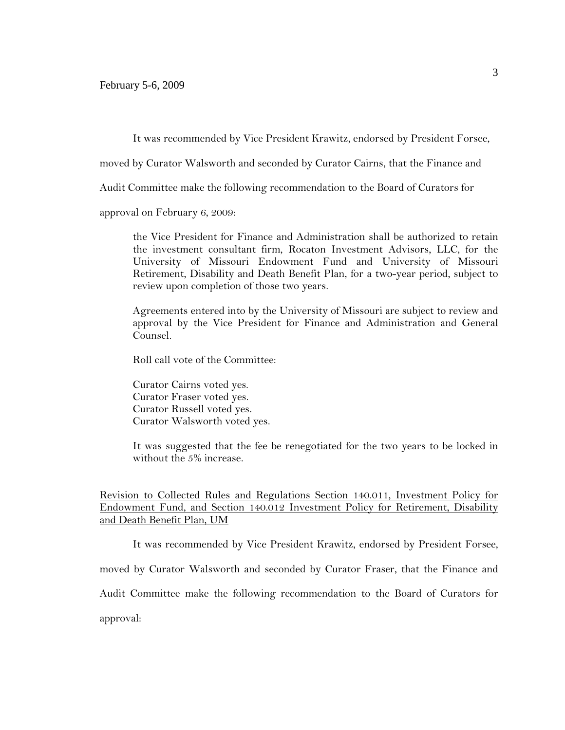It was recommended by Vice President Krawitz, endorsed by President Forsee,

moved by Curator Walsworth and seconded by Curator Cairns, that the Finance and

Audit Committee make the following recommendation to the Board of Curators for

approval on February 6, 2009:

the Vice President for Finance and Administration shall be authorized to retain the investment consultant firm, Rocaton Investment Advisors, LLC, for the University of Missouri Endowment Fund and University of Missouri Retirement, Disability and Death Benefit Plan, for a two-year period, subject to review upon completion of those two years.

Agreements entered into by the University of Missouri are subject to review and approval by the Vice President for Finance and Administration and General Counsel.

Roll call vote of the Committee:

Curator Cairns voted yes. Curator Fraser voted yes. Curator Russell voted yes. Curator Walsworth voted yes.

It was suggested that the fee be renegotiated for the two years to be locked in without the 5% increase.

Revision to Collected Rules and Regulations Section 140.011, Investment Policy for Endowment Fund, and Section 140.012 Investment Policy for Retirement, Disability and Death Benefit Plan, UM

It was recommended by Vice President Krawitz, endorsed by President Forsee,

moved by Curator Walsworth and seconded by Curator Fraser, that the Finance and

Audit Committee make the following recommendation to the Board of Curators for

approval: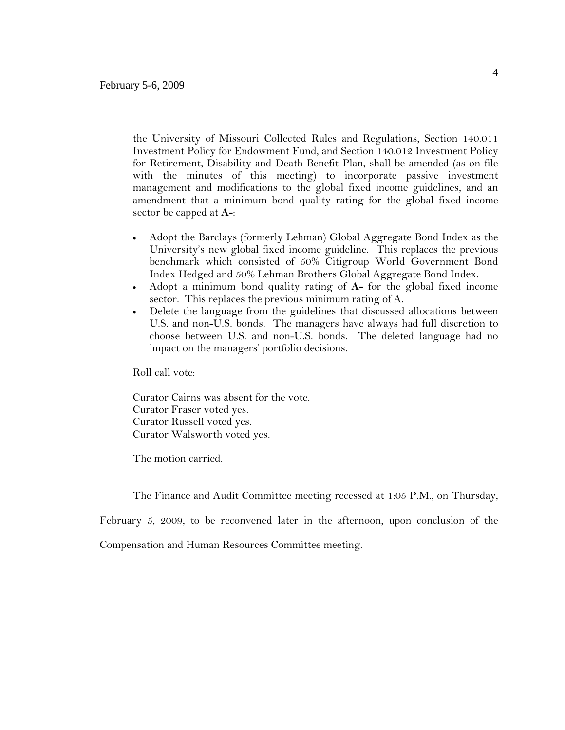the University of Missouri Collected Rules and Regulations, Section 140.011 Investment Policy for Endowment Fund, and Section 140.012 Investment Policy for Retirement, Disability and Death Benefit Plan, shall be amended (as on file with the minutes of this meeting) to incorporate passive investment management and modifications to the global fixed income guidelines, and an amendment that a minimum bond quality rating for the global fixed income sector be capped at **A-**:

- Adopt the Barclays (formerly Lehman) Global Aggregate Bond Index as the University's new global fixed income guideline. This replaces the previous benchmark which consisted of 50% Citigroup World Government Bond Index Hedged and 50% Lehman Brothers Global Aggregate Bond Index.
- Adopt a minimum bond quality rating of **A-** for the global fixed income sector. This replaces the previous minimum rating of A.
- Delete the language from the guidelines that discussed allocations between U.S. and non-U.S. bonds. The managers have always had full discretion to choose between U.S. and non-U.S. bonds. The deleted language had no impact on the managers' portfolio decisions.

Roll call vote:

Curator Cairns was absent for the vote. Curator Fraser voted yes. Curator Russell voted yes. Curator Walsworth voted yes.

The motion carried.

The Finance and Audit Committee meeting recessed at 1:05 P.M., on Thursday,

February 5, 2009, to be reconvened later in the afternoon, upon conclusion of the

Compensation and Human Resources Committee meeting.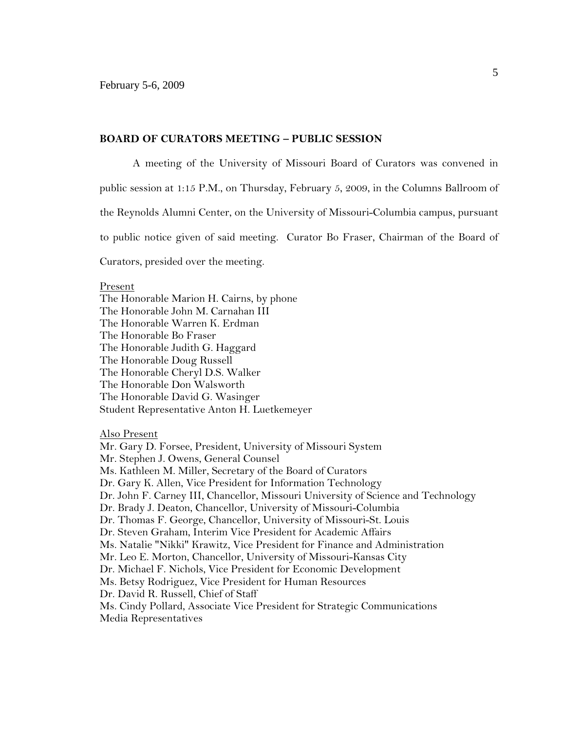#### **BOARD OF CURATORS MEETING – PUBLIC SESSION**

A meeting of the University of Missouri Board of Curators was convened in

public session at 1:15 P.M., on Thursday, February 5, 2009, in the Columns Ballroom of

the Reynolds Alumni Center, on the University of Missouri-Columbia campus, pursuant

to public notice given of said meeting. Curator Bo Fraser, Chairman of the Board of

Curators, presided over the meeting.

#### Present

The Honorable Marion H. Cairns, by phone The Honorable John M. Carnahan III The Honorable Warren K. Erdman The Honorable Bo Fraser The Honorable Judith G. Haggard The Honorable Doug Russell The Honorable Cheryl D.S. Walker The Honorable Don Walsworth The Honorable David G. Wasinger Student Representative Anton H. Luetkemeyer

#### Also Present

Mr. Gary D. Forsee, President, University of Missouri System Mr. Stephen J. Owens, General Counsel Ms. Kathleen M. Miller, Secretary of the Board of Curators Dr. Gary K. Allen, Vice President for Information Technology Dr. John F. Carney III, Chancellor, Missouri University of Science and Technology Dr. Brady J. Deaton, Chancellor, University of Missouri-Columbia Dr. Thomas F. George, Chancellor, University of Missouri-St. Louis Dr. Steven Graham, Interim Vice President for Academic Affairs Ms. Natalie "Nikki" Krawitz, Vice President for Finance and Administration Mr. Leo E. Morton, Chancellor, University of Missouri-Kansas City Dr. Michael F. Nichols, Vice President for Economic Development Ms. Betsy Rodriguez, Vice President for Human Resources Dr. David R. Russell, Chief of Staff Ms. Cindy Pollard, Associate Vice President for Strategic Communications Media Representatives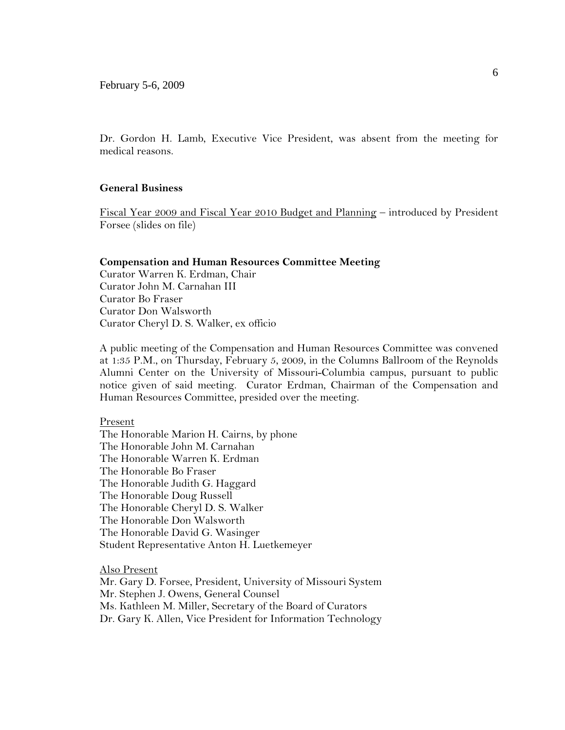Dr. Gordon H. Lamb, Executive Vice President, was absent from the meeting for medical reasons.

### **General Business**

Fiscal Year 2009 and Fiscal Year 2010 Budget and Planning – introduced by President Forsee (slides on file)

#### **Compensation and Human Resources Committee Meeting**

Curator Warren K. Erdman, Chair Curator John M. Carnahan III Curator Bo Fraser Curator Don Walsworth Curator Cheryl D. S. Walker, ex officio

A public meeting of the Compensation and Human Resources Committee was convened at 1:35 P.M., on Thursday, February 5, 2009, in the Columns Ballroom of the Reynolds Alumni Center on the University of Missouri-Columbia campus, pursuant to public notice given of said meeting. Curator Erdman, Chairman of the Compensation and Human Resources Committee, presided over the meeting.

#### Present

The Honorable Marion H. Cairns, by phone The Honorable John M. Carnahan The Honorable Warren K. Erdman The Honorable Bo Fraser The Honorable Judith G. Haggard The Honorable Doug Russell The Honorable Cheryl D. S. Walker The Honorable Don Walsworth The Honorable David G. Wasinger Student Representative Anton H. Luetkemeyer

Also Present Mr. Gary D. Forsee, President, University of Missouri System Mr. Stephen J. Owens, General Counsel Ms. Kathleen M. Miller, Secretary of the Board of Curators Dr. Gary K. Allen, Vice President for Information Technology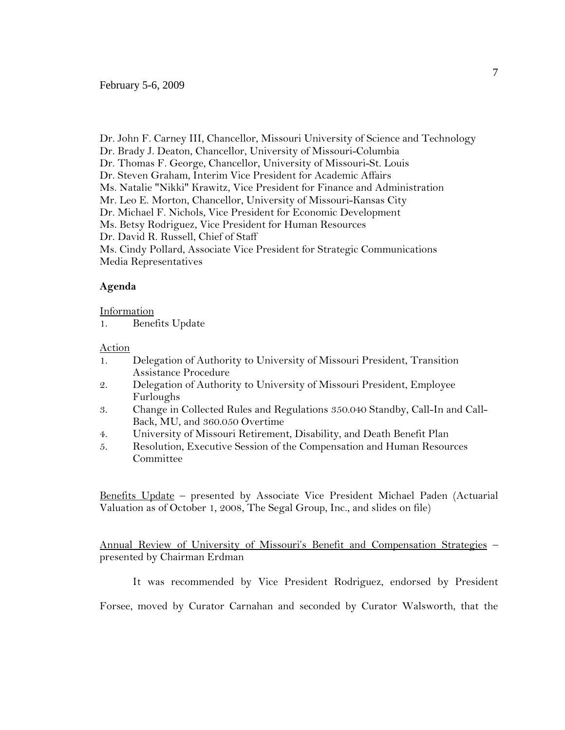Dr. John F. Carney III, Chancellor, Missouri University of Science and Technology Dr. Brady J. Deaton, Chancellor, University of Missouri-Columbia Dr. Thomas F. George, Chancellor, University of Missouri-St. Louis Dr. Steven Graham, Interim Vice President for Academic Affairs Ms. Natalie "Nikki" Krawitz, Vice President for Finance and Administration Mr. Leo E. Morton, Chancellor, University of Missouri-Kansas City Dr. Michael F. Nichols, Vice President for Economic Development Ms. Betsy Rodriguez, Vice President for Human Resources Dr. David R. Russell, Chief of Staff Ms. Cindy Pollard, Associate Vice President for Strategic Communications Media Representatives

### **Agenda**

#### Information

1. Benefits Update

### Action

- 1. Delegation of Authority to University of Missouri President, Transition Assistance Procedure
- 2. Delegation of Authority to University of Missouri President, Employee Furloughs
- 3. Change in Collected Rules and Regulations 350.040 Standby, Call-In and Call-Back, MU, and 360.050 Overtime
- 4. University of Missouri Retirement, Disability, and Death Benefit Plan
- 5. Resolution, Executive Session of the Compensation and Human Resources **Committee**

Benefits Update – presented by Associate Vice President Michael Paden (Actuarial Valuation as of October 1, 2008, The Segal Group, Inc., and slides on file)

Annual Review of University of Missouri's Benefit and Compensation Strategies – presented by Chairman Erdman

It was recommended by Vice President Rodriguez, endorsed by President

Forsee, moved by Curator Carnahan and seconded by Curator Walsworth, that the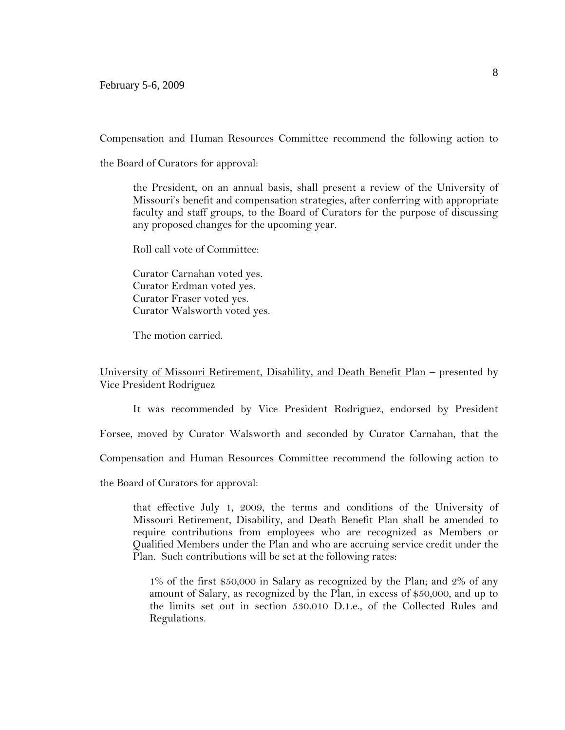February 5-6, 2009

Compensation and Human Resources Committee recommend the following action to

the Board of Curators for approval:

the President, on an annual basis, shall present a review of the University of Missouri's benefit and compensation strategies, after conferring with appropriate faculty and staff groups, to the Board of Curators for the purpose of discussing any proposed changes for the upcoming year.

Roll call vote of Committee:

Curator Carnahan voted yes. Curator Erdman voted yes. Curator Fraser voted yes. Curator Walsworth voted yes.

The motion carried.

## University of Missouri Retirement, Disability, and Death Benefit Plan – presented by Vice President Rodriguez

It was recommended by Vice President Rodriguez, endorsed by President

Forsee, moved by Curator Walsworth and seconded by Curator Carnahan, that the

Compensation and Human Resources Committee recommend the following action to

the Board of Curators for approval:

that effective July 1, 2009, the terms and conditions of the University of Missouri Retirement, Disability, and Death Benefit Plan shall be amended to require contributions from employees who are recognized as Members or Qualified Members under the Plan and who are accruing service credit under the Plan. Such contributions will be set at the following rates:

1% of the first \$50,000 in Salary as recognized by the Plan; and 2% of any amount of Salary, as recognized by the Plan, in excess of \$50,000, and up to the limits set out in section 530.010 D.1.e., of the Collected Rules and Regulations.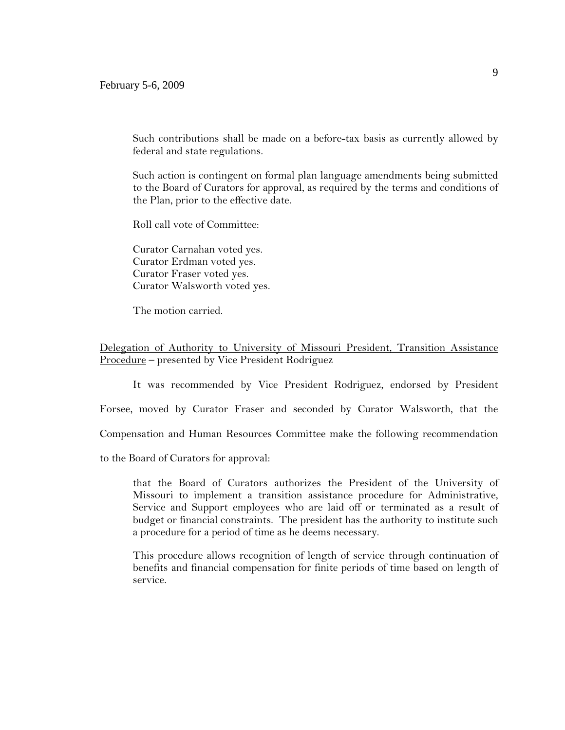Such contributions shall be made on a before-tax basis as currently allowed by federal and state regulations.

Such action is contingent on formal plan language amendments being submitted to the Board of Curators for approval, as required by the terms and conditions of the Plan, prior to the effective date.

Roll call vote of Committee:

Curator Carnahan voted yes. Curator Erdman voted yes. Curator Fraser voted yes. Curator Walsworth voted yes.

The motion carried.

Delegation of Authority to University of Missouri President, Transition Assistance Procedure – presented by Vice President Rodriguez

It was recommended by Vice President Rodriguez, endorsed by President

Forsee, moved by Curator Fraser and seconded by Curator Walsworth, that the

Compensation and Human Resources Committee make the following recommendation

to the Board of Curators for approval:

that the Board of Curators authorizes the President of the University of Missouri to implement a transition assistance procedure for Administrative, Service and Support employees who are laid off or terminated as a result of budget or financial constraints. The president has the authority to institute such a procedure for a period of time as he deems necessary.

This procedure allows recognition of length of service through continuation of benefits and financial compensation for finite periods of time based on length of service.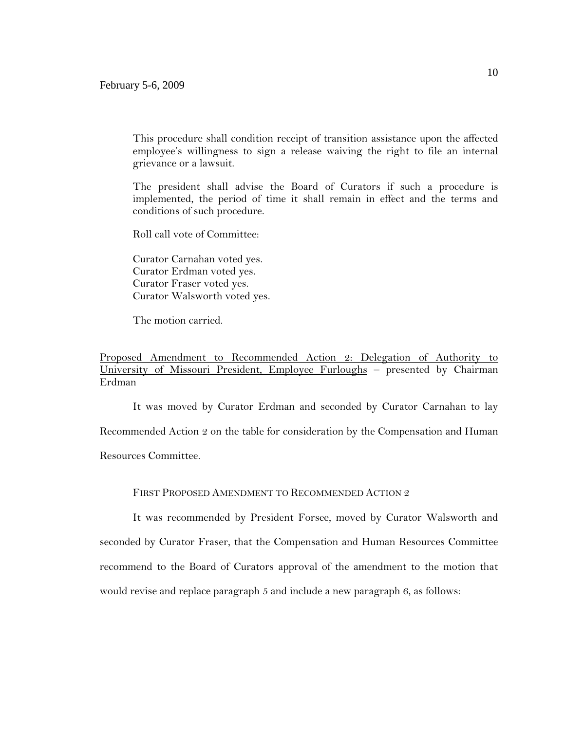This procedure shall condition receipt of transition assistance upon the affected employee's willingness to sign a release waiving the right to file an internal grievance or a lawsuit.

The president shall advise the Board of Curators if such a procedure is implemented, the period of time it shall remain in effect and the terms and conditions of such procedure.

Roll call vote of Committee:

Curator Carnahan voted yes. Curator Erdman voted yes. Curator Fraser voted yes. Curator Walsworth voted yes.

The motion carried.

# Proposed Amendment to Recommended Action 2: Delegation of Authority to University of Missouri President, Employee Furloughs – presented by Chairman Erdman

It was moved by Curator Erdman and seconded by Curator Carnahan to lay Recommended Action 2 on the table for consideration by the Compensation and Human Resources Committee.

## FIRST PROPOSED AMENDMENT TO RECOMMENDED ACTION 2

It was recommended by President Forsee, moved by Curator Walsworth and seconded by Curator Fraser, that the Compensation and Human Resources Committee recommend to the Board of Curators approval of the amendment to the motion that would revise and replace paragraph 5 and include a new paragraph 6, as follows: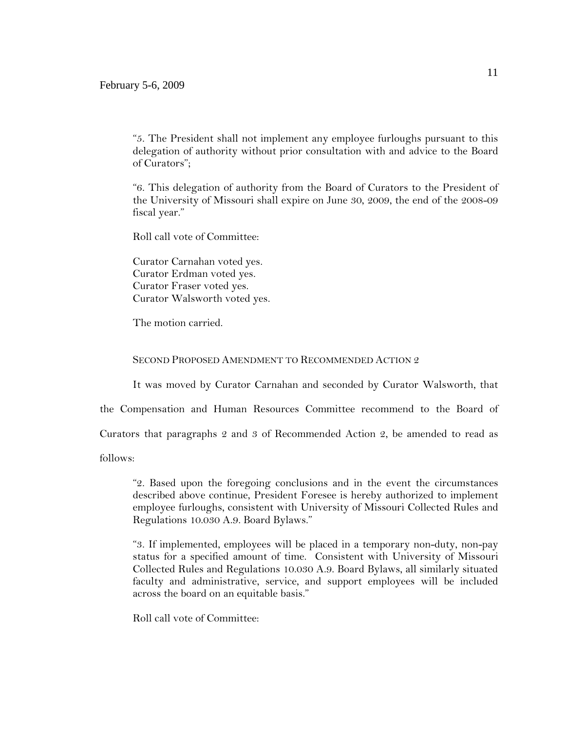"5. The President shall not implement any employee furloughs pursuant to this delegation of authority without prior consultation with and advice to the Board of Curators";

"6. This delegation of authority from the Board of Curators to the President of the University of Missouri shall expire on June 30, 2009, the end of the 2008-09 fiscal year."

Roll call vote of Committee:

Curator Carnahan voted yes. Curator Erdman voted yes. Curator Fraser voted yes. Curator Walsworth voted yes.

The motion carried.

#### SECOND PROPOSED AMENDMENT TO RECOMMENDED ACTION 2

It was moved by Curator Carnahan and seconded by Curator Walsworth, that

the Compensation and Human Resources Committee recommend to the Board of

Curators that paragraphs 2 and 3 of Recommended Action 2, be amended to read as

follows:

"2. Based upon the foregoing conclusions and in the event the circumstances described above continue, President Foresee is hereby authorized to implement employee furloughs, consistent with University of Missouri Collected Rules and Regulations 10.030 A.9. Board Bylaws."

"3. If implemented, employees will be placed in a temporary non-duty, non-pay status for a specified amount of time. Consistent with University of Missouri Collected Rules and Regulations 10.030 A.9. Board Bylaws, all similarly situated faculty and administrative, service, and support employees will be included across the board on an equitable basis."

Roll call vote of Committee: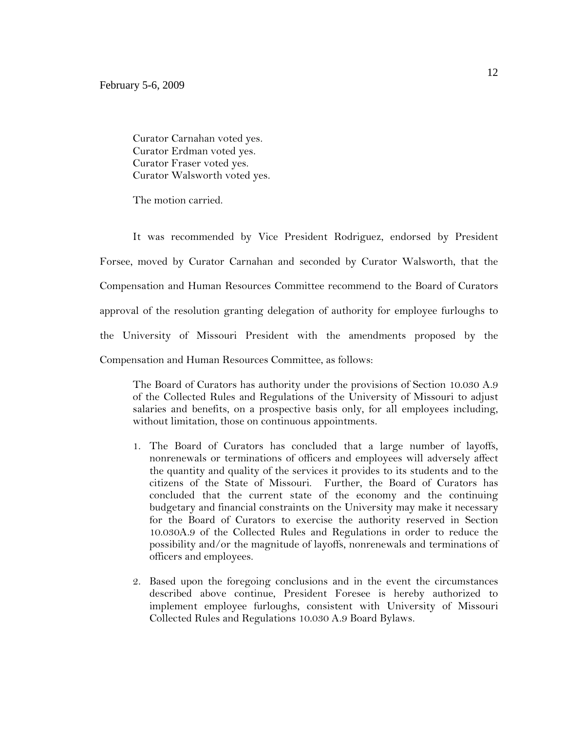Curator Carnahan voted yes. Curator Erdman voted yes. Curator Fraser voted yes. Curator Walsworth voted yes.

The motion carried.

It was recommended by Vice President Rodriguez, endorsed by President Forsee, moved by Curator Carnahan and seconded by Curator Walsworth, that the Compensation and Human Resources Committee recommend to the Board of Curators approval of the resolution granting delegation of authority for employee furloughs to the University of Missouri President with the amendments proposed by the Compensation and Human Resources Committee, as follows:

The Board of Curators has authority under the provisions of Section 10.030 A.9 of the Collected Rules and Regulations of the University of Missouri to adjust salaries and benefits, on a prospective basis only, for all employees including, without limitation, those on continuous appointments.

- 1. The Board of Curators has concluded that a large number of layoffs, nonrenewals or terminations of officers and employees will adversely affect the quantity and quality of the services it provides to its students and to the citizens of the State of Missouri. Further, the Board of Curators has concluded that the current state of the economy and the continuing budgetary and financial constraints on the University may make it necessary for the Board of Curators to exercise the authority reserved in Section 10.030A.9 of the Collected Rules and Regulations in order to reduce the possibility and/or the magnitude of layoffs, nonrenewals and terminations of officers and employees.
- 2. Based upon the foregoing conclusions and in the event the circumstances described above continue, President Foresee is hereby authorized to implement employee furloughs, consistent with University of Missouri Collected Rules and Regulations 10.030 A.9 Board Bylaws.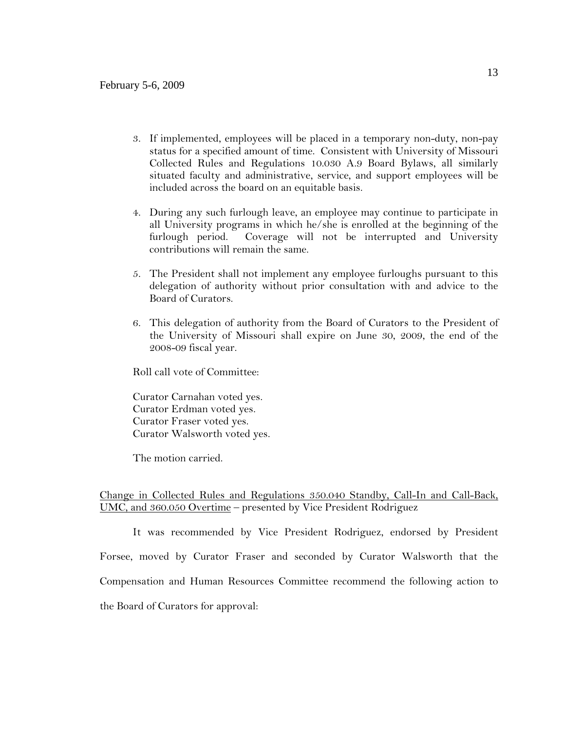- 3. If implemented, employees will be placed in a temporary non-duty, non-pay status for a specified amount of time. Consistent with University of Missouri Collected Rules and Regulations 10.030 A.9 Board Bylaws, all similarly situated faculty and administrative, service, and support employees will be included across the board on an equitable basis.
- 4. During any such furlough leave, an employee may continue to participate in all University programs in which he/she is enrolled at the beginning of the furlough period. Coverage will not be interrupted and University contributions will remain the same.
- 5. The President shall not implement any employee furloughs pursuant to this delegation of authority without prior consultation with and advice to the Board of Curators.
- 6. This delegation of authority from the Board of Curators to the President of the University of Missouri shall expire on June 30, 2009, the end of the 2008-09 fiscal year.

Roll call vote of Committee:

Curator Carnahan voted yes. Curator Erdman voted yes. Curator Fraser voted yes. Curator Walsworth voted yes.

The motion carried.

## Change in Collected Rules and Regulations 350.040 Standby, Call-In and Call-Back, UMC, and 360.050 Overtime – presented by Vice President Rodriguez

It was recommended by Vice President Rodriguez, endorsed by President Forsee, moved by Curator Fraser and seconded by Curator Walsworth that the Compensation and Human Resources Committee recommend the following action to the Board of Curators for approval: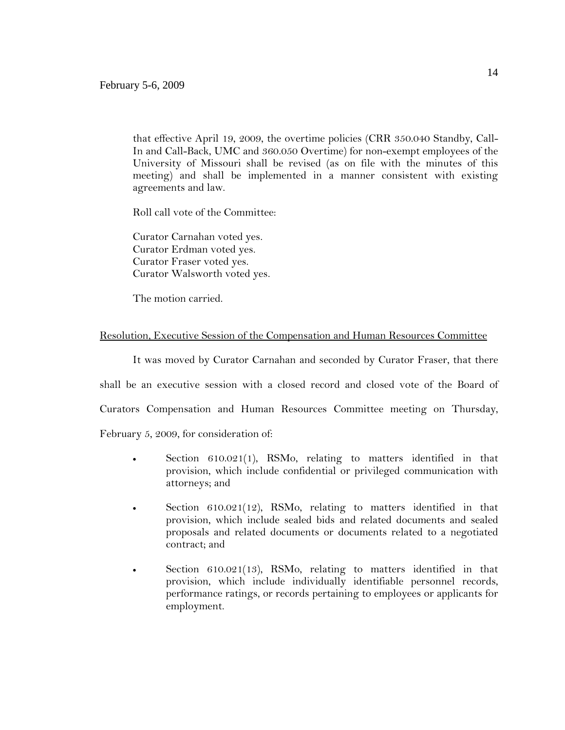that effective April 19, 2009, the overtime policies (CRR 350.040 Standby, Call-In and Call-Back, UMC and 360.050 Overtime) for non-exempt employees of the University of Missouri shall be revised (as on file with the minutes of this meeting) and shall be implemented in a manner consistent with existing agreements and law.

Roll call vote of the Committee:

Curator Carnahan voted yes. Curator Erdman voted yes. Curator Fraser voted yes. Curator Walsworth voted yes.

The motion carried.

## Resolution, Executive Session of the Compensation and Human Resources Committee

It was moved by Curator Carnahan and seconded by Curator Fraser, that there shall be an executive session with a closed record and closed vote of the Board of Curators Compensation and Human Resources Committee meeting on Thursday, February 5, 2009, for consideration of:

- Section 610.021(1), RSMo, relating to matters identified in that provision, which include confidential or privileged communication with attorneys; and
- Section  $610.021(12)$ , RSMo, relating to matters identified in that provision, which include sealed bids and related documents and sealed proposals and related documents or documents related to a negotiated contract; and
- Section 610.021(13), RSMo, relating to matters identified in that provision, which include individually identifiable personnel records, performance ratings, or records pertaining to employees or applicants for employment.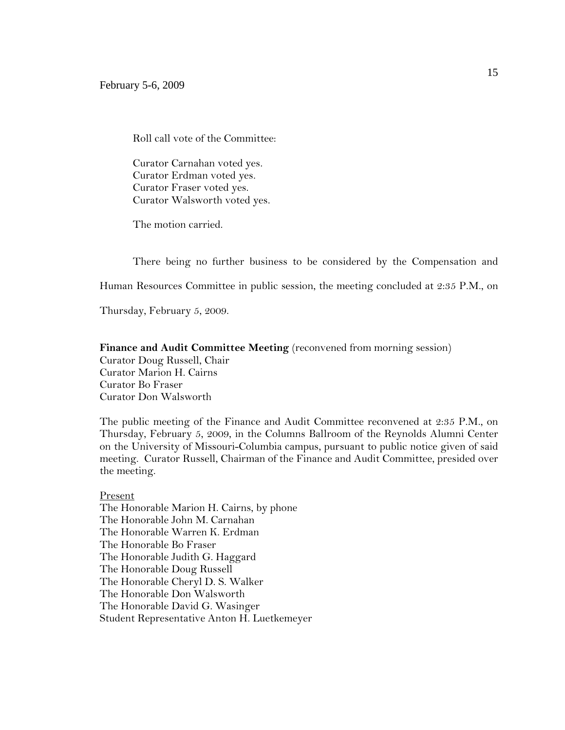Roll call vote of the Committee:

Curator Carnahan voted yes. Curator Erdman voted yes. Curator Fraser voted yes. Curator Walsworth voted yes.

The motion carried.

There being no further business to be considered by the Compensation and

Human Resources Committee in public session, the meeting concluded at 2:35 P.M., on

Thursday, February 5, 2009.

#### **Finance and Audit Committee Meeting** (reconvened from morning session)

Curator Doug Russell, Chair Curator Marion H. Cairns Curator Bo Fraser Curator Don Walsworth

The public meeting of the Finance and Audit Committee reconvened at 2:35 P.M., on Thursday, February 5, 2009, in the Columns Ballroom of the Reynolds Alumni Center on the University of Missouri-Columbia campus, pursuant to public notice given of said meeting. Curator Russell, Chairman of the Finance and Audit Committee, presided over the meeting.

#### Present

The Honorable Marion H. Cairns, by phone The Honorable John M. Carnahan The Honorable Warren K. Erdman The Honorable Bo Fraser The Honorable Judith G. Haggard The Honorable Doug Russell The Honorable Cheryl D. S. Walker The Honorable Don Walsworth The Honorable David G. Wasinger Student Representative Anton H. Luetkemeyer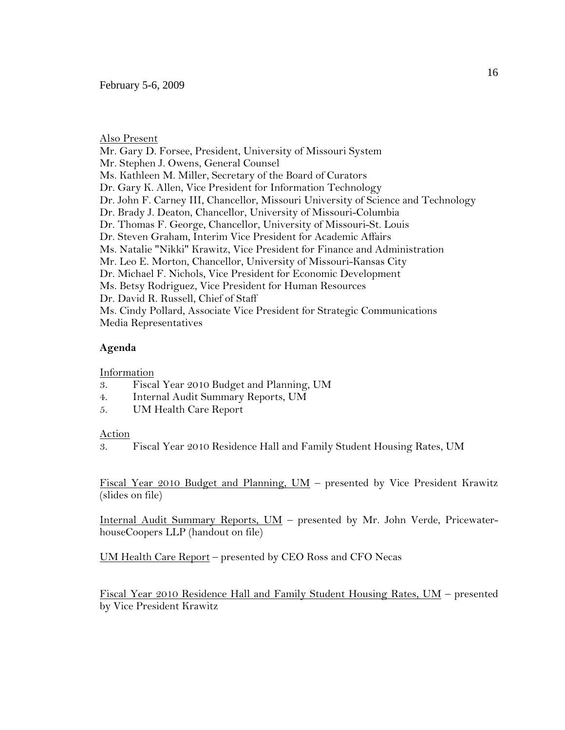#### Also Present

Mr. Gary D. Forsee, President, University of Missouri System Mr. Stephen J. Owens, General Counsel Ms. Kathleen M. Miller, Secretary of the Board of Curators Dr. Gary K. Allen, Vice President for Information Technology Dr. John F. Carney III, Chancellor, Missouri University of Science and Technology Dr. Brady J. Deaton, Chancellor, University of Missouri-Columbia Dr. Thomas F. George, Chancellor, University of Missouri-St. Louis Dr. Steven Graham, Interim Vice President for Academic Affairs Ms. Natalie "Nikki" Krawitz, Vice President for Finance and Administration Mr. Leo E. Morton, Chancellor, University of Missouri-Kansas City Dr. Michael F. Nichols, Vice President for Economic Development Ms. Betsy Rodriguez, Vice President for Human Resources Dr. David R. Russell, Chief of Staff Ms. Cindy Pollard, Associate Vice President for Strategic Communications Media Representatives

### **Agenda**

#### Information

- 3. Fiscal Year 2010 Budget and Planning, UM
- 4. Internal Audit Summary Reports, UM
- 5. UM Health Care Report

### Action

3. Fiscal Year 2010 Residence Hall and Family Student Housing Rates, UM

Fiscal Year 2010 Budget and Planning, UM – presented by Vice President Krawitz (slides on file)

Internal Audit Summary Reports, UM – presented by Mr. John Verde, PricewaterhouseCoopers LLP (handout on file)

UM Health Care Report – presented by CEO Ross and CFO Necas

Fiscal Year 2010 Residence Hall and Family Student Housing Rates, UM – presented by Vice President Krawitz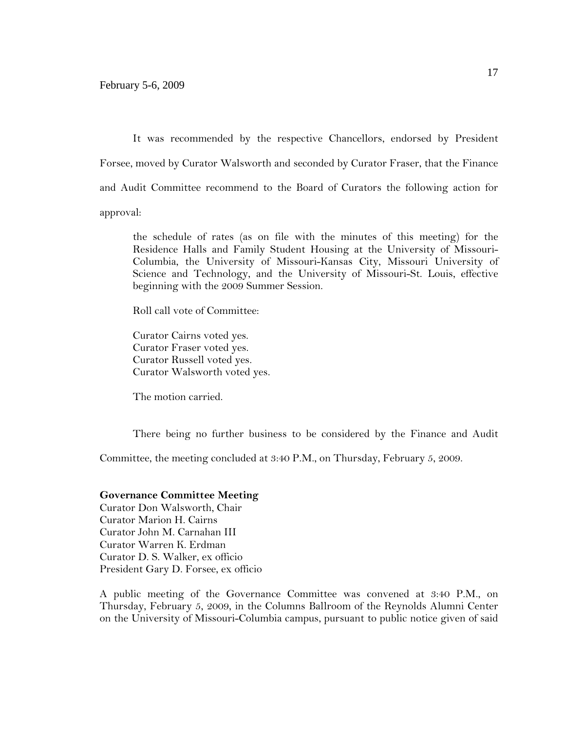It was recommended by the respective Chancellors, endorsed by President Forsee, moved by Curator Walsworth and seconded by Curator Fraser, that the Finance and Audit Committee recommend to the Board of Curators the following action for approval:

the schedule of rates (as on file with the minutes of this meeting) for the Residence Halls and Family Student Housing at the University of Missouri-Columbia, the University of Missouri-Kansas City, Missouri University of Science and Technology, and the University of Missouri-St. Louis, effective beginning with the 2009 Summer Session.

Roll call vote of Committee:

Curator Cairns voted yes. Curator Fraser voted yes. Curator Russell voted yes. Curator Walsworth voted yes.

The motion carried.

There being no further business to be considered by the Finance and Audit

Committee, the meeting concluded at 3:40 P.M., on Thursday, February 5, 2009.

### **Governance Committee Meeting**

Curator Don Walsworth, Chair Curator Marion H. Cairns Curator John M. Carnahan III Curator Warren K. Erdman Curator D. S. Walker, ex officio President Gary D. Forsee, ex officio

A public meeting of the Governance Committee was convened at 3:40 P.M., on Thursday, February 5, 2009, in the Columns Ballroom of the Reynolds Alumni Center on the University of Missouri-Columbia campus, pursuant to public notice given of said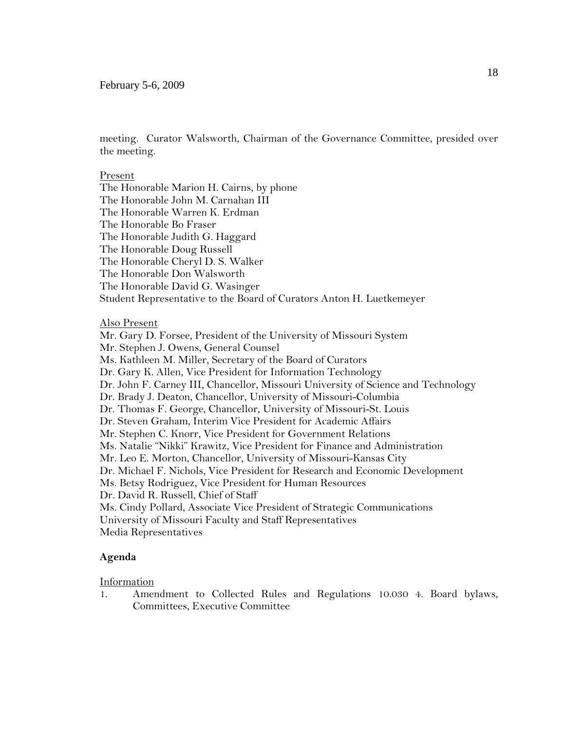### February 5-6, 2009

meeting. Curator Walsworth, Chairman of the Governance Committee, presided over the meeting.

#### Present

The Honorable Marion H. Cairns, by phone The Honorable John M. Carnahan III The Honorable Warren K. Erdman The Honorable Bo Fraser The Honorable Judith G. Haggard The Honorable Doug Russell The Honorable Cheryl D. S. Walker The Honorable Don Walsworth The Honorable David G. Wasinger Student Representative to the Board of Curators Anton H. Luetkemeyer

#### Also Present

Mr. Gary D. Forsee, President of the University of Missouri System Mr. Stephen J. Owens, General Counsel Ms. Kathleen M. Miller, Secretary of the Board of Curators Dr. Gary K. Allen, Vice President for Information Technology Dr. John F. Carney III, Chancellor, Missouri University of Science and Technology Dr. Brady J. Deaton, Chancellor, University of Missouri-Columbia Dr. Thomas F. George, Chancellor, University of Missouri-St. Louis Dr. Steven Graham, Interim Vice President for Academic Affairs Mr. Stephen C. Knorr, Vice President for Government Relations Ms. Natalie "Nikki" Krawitz, Vice President for Finance and Administration Mr. Leo E. Morton, Chancellor, University of Missouri-Kansas City Dr. Michael F. Nichols, Vice President for Research and Economic Development Ms. Betsy Rodriguez, Vice President for Human Resources Dr. David R. Russell, Chief of Staff Ms. Cindy Pollard, Associate Vice President of Strategic Communications University of Missouri Faculty and Staff Representatives Media Representatives

### **Agenda**

Information

1. Amendment to Collected Rules and Regulations 10.030 4. Board bylaws, Committees, Executive Committee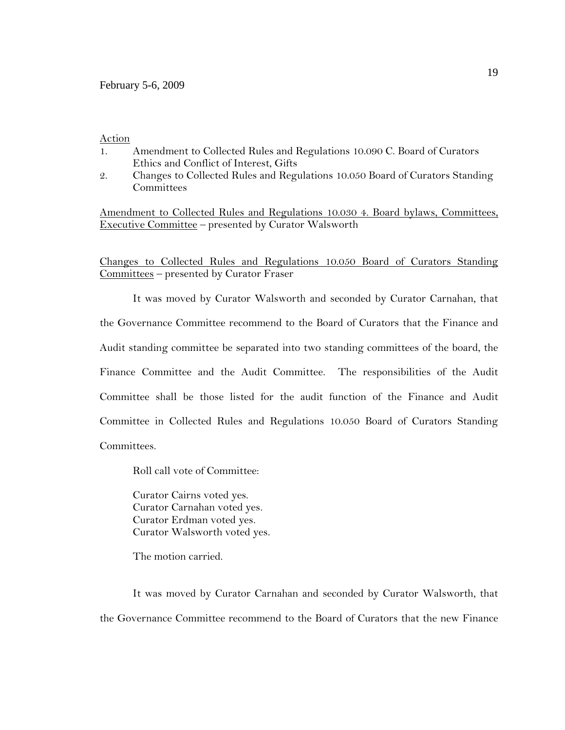#### Action

- 1. Amendment to Collected Rules and Regulations 10.090 C. Board of Curators Ethics and Conflict of Interest, Gifts
- 2. Changes to Collected Rules and Regulations 10.050 Board of Curators Standing **Committees**

Amendment to Collected Rules and Regulations 10.030 4. Board bylaws, Committees, Executive Committee – presented by Curator Walsworth

Changes to Collected Rules and Regulations 10.050 Board of Curators Standing Committees – presented by Curator Fraser

It was moved by Curator Walsworth and seconded by Curator Carnahan, that the Governance Committee recommend to the Board of Curators that the Finance and Audit standing committee be separated into two standing committees of the board, the Finance Committee and the Audit Committee. The responsibilities of the Audit Committee shall be those listed for the audit function of the Finance and Audit Committee in Collected Rules and Regulations 10.050 Board of Curators Standing Committees.

Roll call vote of Committee:

Curator Cairns voted yes. Curator Carnahan voted yes. Curator Erdman voted yes. Curator Walsworth voted yes.

The motion carried.

It was moved by Curator Carnahan and seconded by Curator Walsworth, that the Governance Committee recommend to the Board of Curators that the new Finance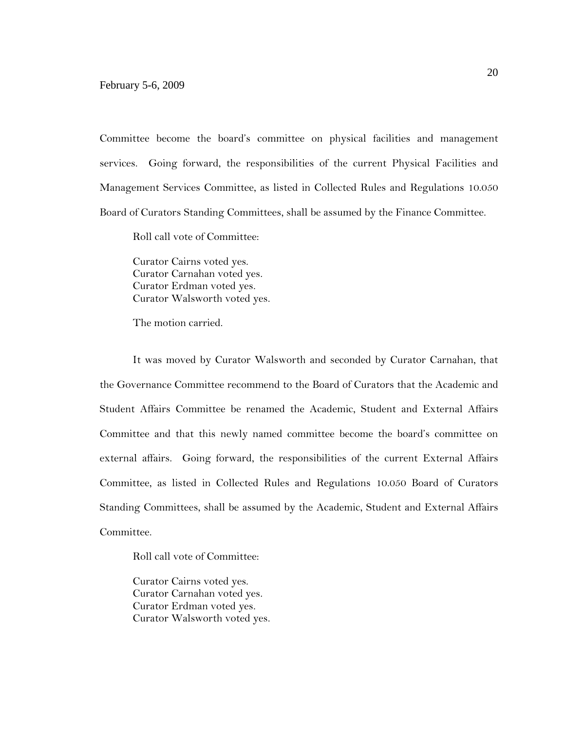Committee become the board's committee on physical facilities and management services. Going forward, the responsibilities of the current Physical Facilities and Management Services Committee, as listed in Collected Rules and Regulations 10.050 Board of Curators Standing Committees, shall be assumed by the Finance Committee.

Roll call vote of Committee:

Curator Cairns voted yes. Curator Carnahan voted yes. Curator Erdman voted yes. Curator Walsworth voted yes.

The motion carried.

It was moved by Curator Walsworth and seconded by Curator Carnahan, that the Governance Committee recommend to the Board of Curators that the Academic and Student Affairs Committee be renamed the Academic, Student and External Affairs Committee and that this newly named committee become the board's committee on external affairs. Going forward, the responsibilities of the current External Affairs Committee, as listed in Collected Rules and Regulations 10.050 Board of Curators Standing Committees, shall be assumed by the Academic, Student and External Affairs Committee.

Roll call vote of Committee:

Curator Cairns voted yes. Curator Carnahan voted yes. Curator Erdman voted yes. Curator Walsworth voted yes.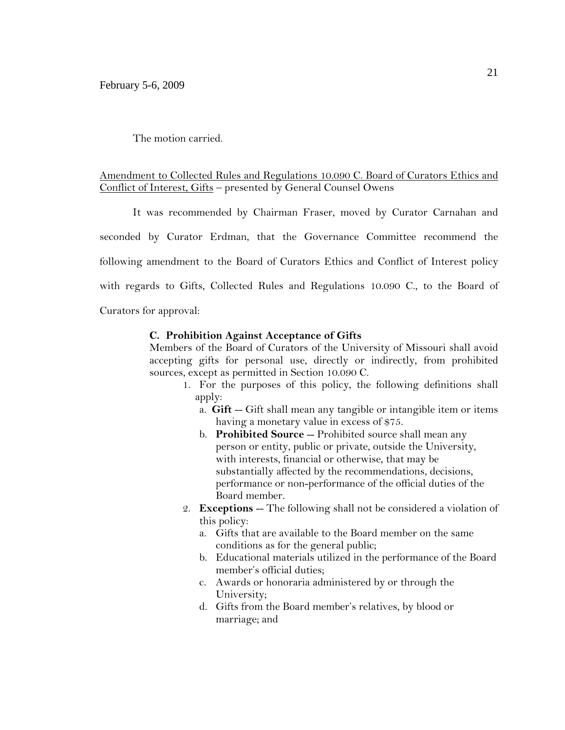The motion carried.

# Amendment to Collected Rules and Regulations 10.090 C. Board of Curators Ethics and Conflict of Interest, Gifts – presented by General Counsel Owens

It was recommended by Chairman Fraser, moved by Curator Carnahan and

seconded by Curator Erdman, that the Governance Committee recommend the following amendment to the Board of Curators Ethics and Conflict of Interest policy with regards to Gifts, Collected Rules and Regulations 10.090 C., to the Board of

Curators for approval:

### **C. Prohibition Against Acceptance of Gifts**

Members of the Board of Curators of the University of Missouri shall avoid accepting gifts for personal use, directly or indirectly, from prohibited sources, except as permitted in Section 10.090 C.

- 1. For the purposes of this policy, the following definitions shall apply:
	- a. **Gift** -- Gift shall mean any tangible or intangible item or items having a monetary value in excess of \$75.
	- b. **Prohibited Source** -- Prohibited source shall mean any person or entity, public or private, outside the University, with interests, financial or otherwise, that may be substantially affected by the recommendations, decisions, performance or non-performance of the official duties of the Board member.
- 2. **Exceptions** -- The following shall not be considered a violation of this policy:
	- a. Gifts that are available to the Board member on the same conditions as for the general public;
	- b. Educational materials utilized in the performance of the Board member's official duties;
	- c. Awards or honoraria administered by or through the University;
	- d. Gifts from the Board member's relatives, by blood or marriage; and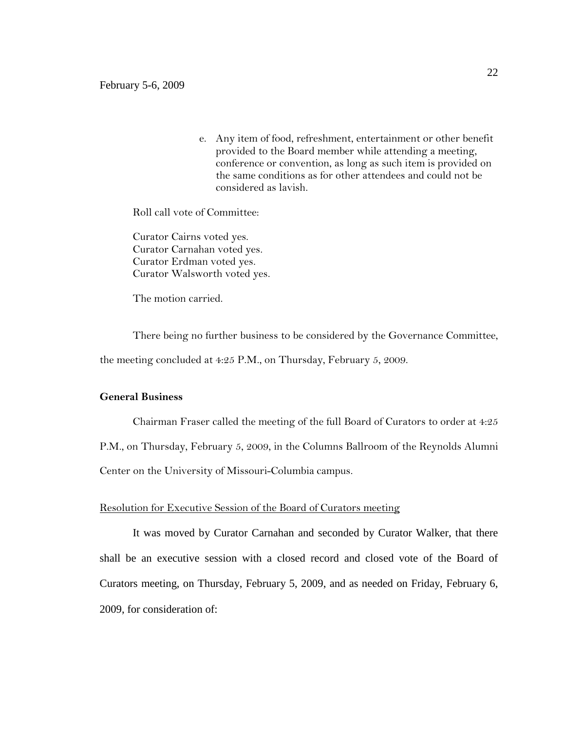e. Any item of food, refreshment, entertainment or other benefit provided to the Board member while attending a meeting, conference or convention, as long as such item is provided on the same conditions as for other attendees and could not be considered as lavish.

Roll call vote of Committee:

Curator Cairns voted yes. Curator Carnahan voted yes. Curator Erdman voted yes. Curator Walsworth voted yes.

The motion carried.

There being no further business to be considered by the Governance Committee, the meeting concluded at 4:25 P.M., on Thursday, February 5, 2009.

## **General Business**

Chairman Fraser called the meeting of the full Board of Curators to order at 4:25 P.M., on Thursday, February 5, 2009, in the Columns Ballroom of the Reynolds Alumni Center on the University of Missouri-Columbia campus.

### Resolution for Executive Session of the Board of Curators meeting

It was moved by Curator Carnahan and seconded by Curator Walker, that there shall be an executive session with a closed record and closed vote of the Board of Curators meeting, on Thursday, February 5, 2009, and as needed on Friday, February 6, 2009, for consideration of: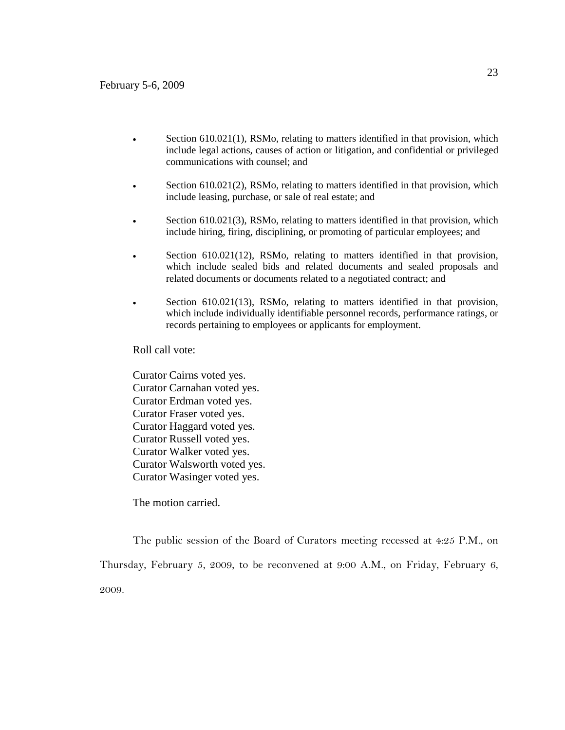- Section 610.021(1), RSMo, relating to matters identified in that provision, which include legal actions, causes of action or litigation, and confidential or privileged communications with counsel; and
- Section 610.021(2), RSMo, relating to matters identified in that provision, which include leasing, purchase, or sale of real estate; and
- Section 610.021(3), RSMo, relating to matters identified in that provision, which include hiring, firing, disciplining, or promoting of particular employees; and
- Section 610.021(12), RSMo, relating to matters identified in that provision, which include sealed bids and related documents and sealed proposals and related documents or documents related to a negotiated contract; and
- Section 610.021(13), RSMo, relating to matters identified in that provision, which include individually identifiable personnel records, performance ratings, or records pertaining to employees or applicants for employment.

Roll call vote:

Curator Cairns voted yes. Curator Carnahan voted yes. Curator Erdman voted yes. Curator Fraser voted yes. Curator Haggard voted yes. Curator Russell voted yes. Curator Walker voted yes. Curator Walsworth voted yes. Curator Wasinger voted yes.

The motion carried.

The public session of the Board of Curators meeting recessed at 4:25 P.M., on

Thursday, February 5, 2009, to be reconvened at 9:00 A.M., on Friday, February 6, 2009.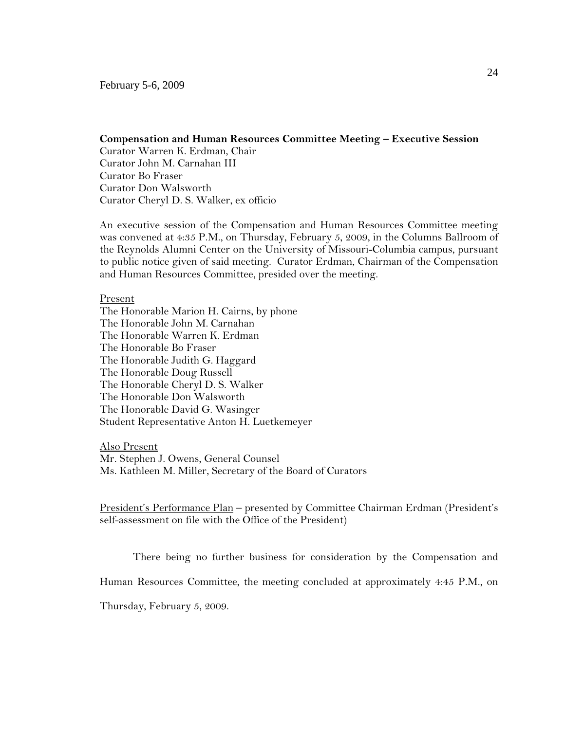### **Compensation and Human Resources Committee Meeting – Executive Session**

Curator Warren K. Erdman, Chair Curator John M. Carnahan III Curator Bo Fraser Curator Don Walsworth Curator Cheryl D. S. Walker, ex officio

An executive session of the Compensation and Human Resources Committee meeting was convened at 4:35 P.M., on Thursday, February 5, 2009, in the Columns Ballroom of the Reynolds Alumni Center on the University of Missouri-Columbia campus, pursuant to public notice given of said meeting. Curator Erdman, Chairman of the Compensation and Human Resources Committee, presided over the meeting.

#### Present

The Honorable Marion H. Cairns, by phone The Honorable John M. Carnahan The Honorable Warren K. Erdman The Honorable Bo Fraser The Honorable Judith G. Haggard The Honorable Doug Russell The Honorable Cheryl D. S. Walker The Honorable Don Walsworth The Honorable David G. Wasinger Student Representative Anton H. Luetkemeyer

Also Present Mr. Stephen J. Owens, General Counsel Ms. Kathleen M. Miller, Secretary of the Board of Curators

President's Performance Plan - presented by Committee Chairman Erdman (President's self-assessment on file with the Office of the President)

There being no further business for consideration by the Compensation and

Human Resources Committee, the meeting concluded at approximately 4:45 P.M., on

Thursday, February 5, 2009.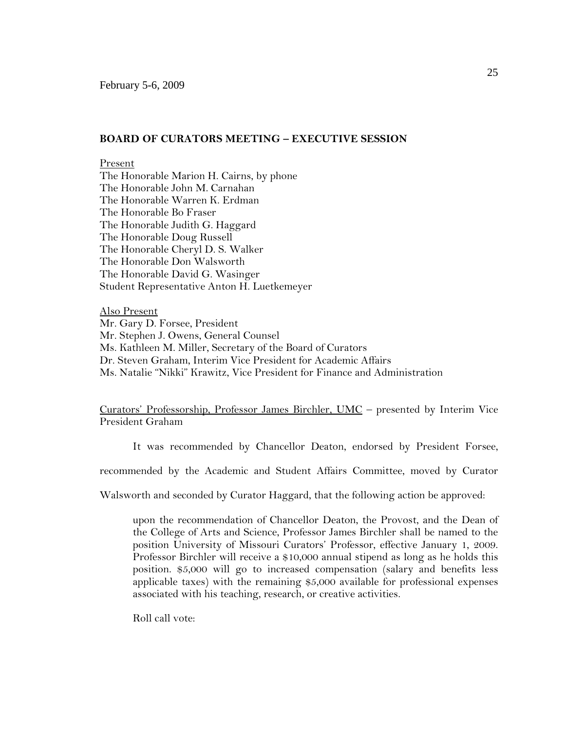#### **BOARD OF CURATORS MEETING – EXECUTIVE SESSION**

#### Present

The Honorable Marion H. Cairns, by phone The Honorable John M. Carnahan The Honorable Warren K. Erdman The Honorable Bo Fraser The Honorable Judith G. Haggard The Honorable Doug Russell The Honorable Cheryl D. S. Walker The Honorable Don Walsworth The Honorable David G. Wasinger Student Representative Anton H. Luetkemeyer

Also Present Mr. Gary D. Forsee, President Mr. Stephen J. Owens, General Counsel Ms. Kathleen M. Miller, Secretary of the Board of Curators Dr. Steven Graham, Interim Vice President for Academic Affairs Ms. Natalie "Nikki" Krawitz, Vice President for Finance and Administration

Curators' Professorship, Professor James Birchler, UMC – presented by Interim Vice President Graham

It was recommended by Chancellor Deaton, endorsed by President Forsee,

recommended by the Academic and Student Affairs Committee, moved by Curator

Walsworth and seconded by Curator Haggard, that the following action be approved:

upon the recommendation of Chancellor Deaton, the Provost, and the Dean of the College of Arts and Science, Professor James Birchler shall be named to the position University of Missouri Curators' Professor, effective January 1, 2009. Professor Birchler will receive a \$10,000 annual stipend as long as he holds this position. \$5,000 will go to increased compensation (salary and benefits less applicable taxes) with the remaining \$5,000 available for professional expenses associated with his teaching, research, or creative activities.

Roll call vote: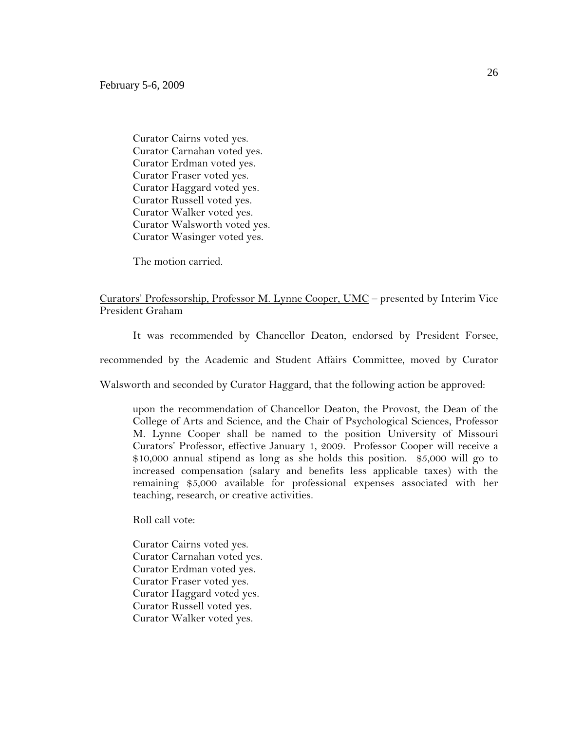Curator Cairns voted yes. Curator Carnahan voted yes. Curator Erdman voted yes. Curator Fraser voted yes. Curator Haggard voted yes. Curator Russell voted yes. Curator Walker voted yes. Curator Walsworth voted yes. Curator Wasinger voted yes.

The motion carried.

Curators' Professorship, Professor M. Lynne Cooper, UMC – presented by Interim Vice President Graham

It was recommended by Chancellor Deaton, endorsed by President Forsee,

recommended by the Academic and Student Affairs Committee, moved by Curator

Walsworth and seconded by Curator Haggard, that the following action be approved:

upon the recommendation of Chancellor Deaton, the Provost, the Dean of the College of Arts and Science, and the Chair of Psychological Sciences, Professor M. Lynne Cooper shall be named to the position University of Missouri Curators' Professor, effective January 1, 2009. Professor Cooper will receive a \$10,000 annual stipend as long as she holds this position. \$5,000 will go to increased compensation (salary and benefits less applicable taxes) with the remaining \$5,000 available for professional expenses associated with her teaching, research, or creative activities.

Roll call vote:

Curator Cairns voted yes. Curator Carnahan voted yes. Curator Erdman voted yes. Curator Fraser voted yes. Curator Haggard voted yes. Curator Russell voted yes. Curator Walker voted yes.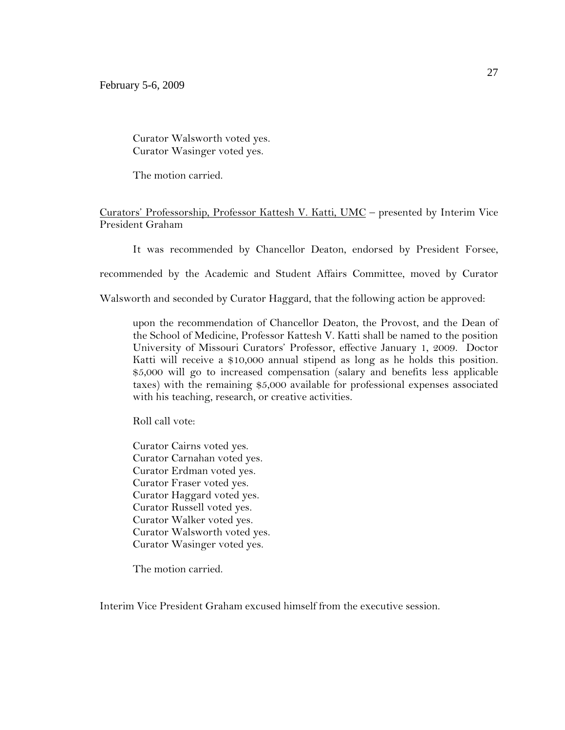Curator Walsworth voted yes. Curator Wasinger voted yes.

The motion carried.

Curators' Professorship, Professor Kattesh V. Katti, UMC – presented by Interim Vice President Graham

It was recommended by Chancellor Deaton, endorsed by President Forsee,

recommended by the Academic and Student Affairs Committee, moved by Curator

Walsworth and seconded by Curator Haggard, that the following action be approved:

upon the recommendation of Chancellor Deaton, the Provost, and the Dean of the School of Medicine, Professor Kattesh V. Katti shall be named to the position University of Missouri Curators' Professor, effective January 1, 2009. Doctor Katti will receive a \$10,000 annual stipend as long as he holds this position. \$5,000 will go to increased compensation (salary and benefits less applicable taxes) with the remaining \$5,000 available for professional expenses associated with his teaching, research, or creative activities.

Roll call vote:

Curator Cairns voted yes. Curator Carnahan voted yes. Curator Erdman voted yes. Curator Fraser voted yes. Curator Haggard voted yes. Curator Russell voted yes. Curator Walker voted yes. Curator Walsworth voted yes. Curator Wasinger voted yes.

The motion carried.

Interim Vice President Graham excused himself from the executive session.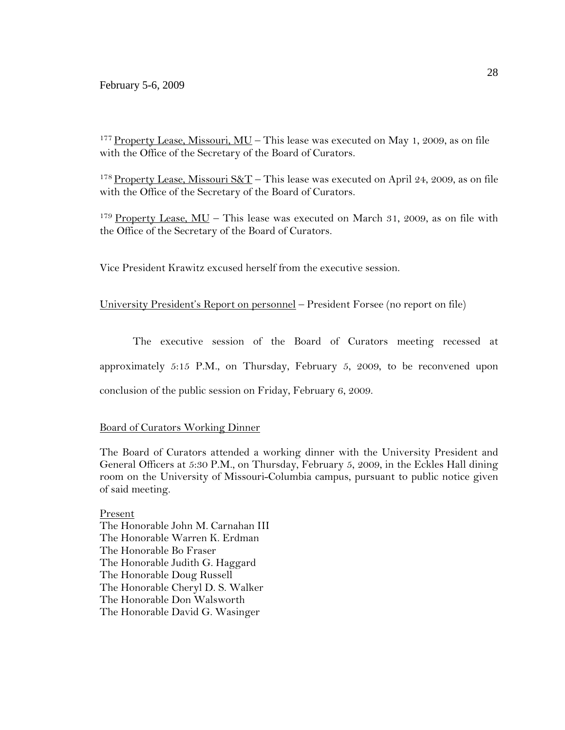### February 5-6, 2009

<sup>177</sup> Property Lease, Missouri, MU – This lease was executed on May 1, 2009, as on file with the Office of the Secretary of the Board of Curators.

<sup>178</sup> Property Lease, Missouri S&T – This lease was executed on April 24, 2009, as on file with the Office of the Secretary of the Board of Curators.

 $179$  Property Lease, MU – This lease was executed on March 31, 2009, as on file with the Office of the Secretary of the Board of Curators.

Vice President Krawitz excused herself from the executive session.

## University President's Report on personnel – President Forsee (no report on file)

The executive session of the Board of Curators meeting recessed at approximately 5:15 P.M., on Thursday, February 5, 2009, to be reconvened upon conclusion of the public session on Friday, February 6, 2009.

## Board of Curators Working Dinner

The Board of Curators attended a working dinner with the University President and General Officers at 5:30 P.M., on Thursday, February 5, 2009, in the Eckles Hall dining room on the University of Missouri-Columbia campus, pursuant to public notice given of said meeting.

Present The Honorable John M. Carnahan III The Honorable Warren K. Erdman The Honorable Bo Fraser The Honorable Judith G. Haggard The Honorable Doug Russell The Honorable Cheryl D. S. Walker The Honorable Don Walsworth The Honorable David G. Wasinger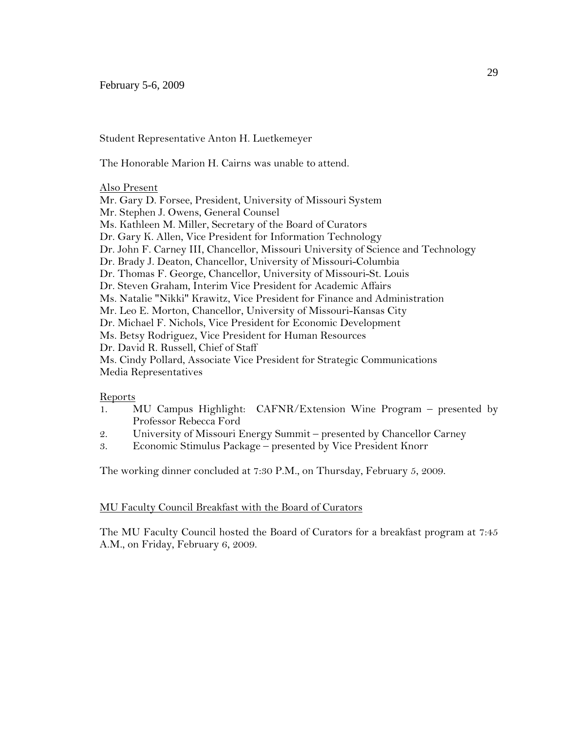Student Representative Anton H. Luetkemeyer

The Honorable Marion H. Cairns was unable to attend.

### Also Present

Mr. Gary D. Forsee, President, University of Missouri System Mr. Stephen J. Owens, General Counsel Ms. Kathleen M. Miller, Secretary of the Board of Curators Dr. Gary K. Allen, Vice President for Information Technology Dr. John F. Carney III, Chancellor, Missouri University of Science and Technology Dr. Brady J. Deaton, Chancellor, University of Missouri-Columbia Dr. Thomas F. George, Chancellor, University of Missouri-St. Louis Dr. Steven Graham, Interim Vice President for Academic Affairs Ms. Natalie "Nikki" Krawitz, Vice President for Finance and Administration Mr. Leo E. Morton, Chancellor, University of Missouri-Kansas City Dr. Michael F. Nichols, Vice President for Economic Development Ms. Betsy Rodriguez, Vice President for Human Resources Dr. David R. Russell, Chief of Staff Ms. Cindy Pollard, Associate Vice President for Strategic Communications Media Representatives

### Reports

- 1. MU Campus Highlight: CAFNR/Extension Wine Program presented by Professor Rebecca Ford
- 2. University of Missouri Energy Summit presented by Chancellor Carney
- 3. Economic Stimulus Package presented by Vice President Knorr

The working dinner concluded at 7:30 P.M., on Thursday, February 5, 2009.

### MU Faculty Council Breakfast with the Board of Curators

The MU Faculty Council hosted the Board of Curators for a breakfast program at 7:45 A.M., on Friday, February 6, 2009.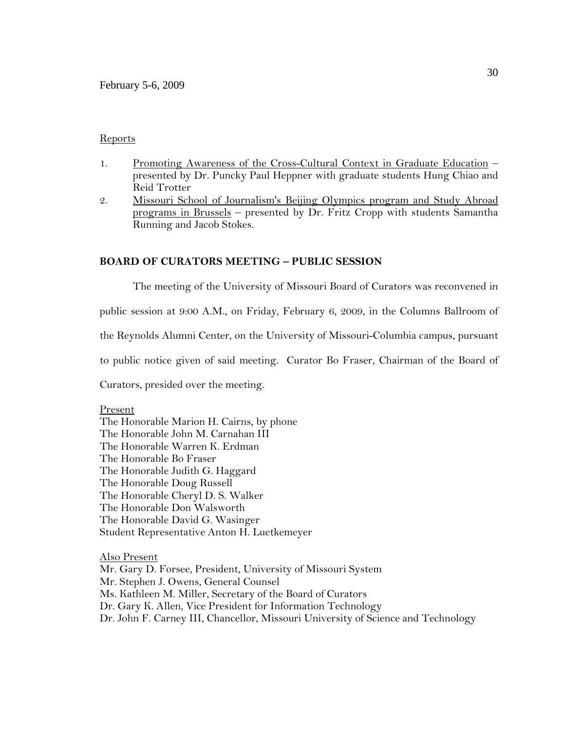## Reports

- 1. Promoting Awareness of the Cross-Cultural Context in Graduate Education presented by Dr. Puncky Paul Heppner with graduate students Hung Chiao and Reid Trotter
- 2. Missouri School of Journalism's Beijing Olympics program and Study Abroad programs in Brussels – presented by Dr. Fritz Cropp with students Samantha Running and Jacob Stokes.

## **BOARD OF CURATORS MEETING – PUBLIC SESSION**

The meeting of the University of Missouri Board of Curators was reconvened in

public session at 9:00 A.M., on Friday, February 6, 2009, in the Columns Ballroom of

the Reynolds Alumni Center, on the University of Missouri-Columbia campus, pursuant

to public notice given of said meeting. Curator Bo Fraser, Chairman of the Board of

Curators, presided over the meeting.

### Present

The Honorable Marion H. Cairns, by phone The Honorable John M. Carnahan III The Honorable Warren K. Erdman The Honorable Bo Fraser The Honorable Judith G. Haggard The Honorable Doug Russell The Honorable Cheryl D. S. Walker The Honorable Don Walsworth The Honorable David G. Wasinger Student Representative Anton H. Luetkemeyer

Also Present Mr. Gary D. Forsee, President, University of Missouri System Mr. Stephen J. Owens, General Counsel Ms. Kathleen M. Miller, Secretary of the Board of Curators Dr. Gary K. Allen, Vice President for Information Technology Dr. John F. Carney III, Chancellor, Missouri University of Science and Technology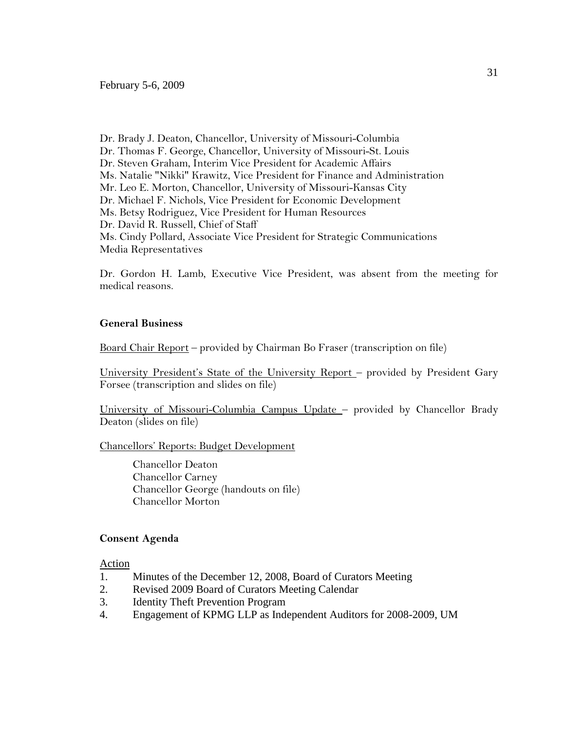Dr. Brady J. Deaton, Chancellor, University of Missouri-Columbia Dr. Thomas F. George, Chancellor, University of Missouri-St. Louis Dr. Steven Graham, Interim Vice President for Academic Affairs Ms. Natalie "Nikki" Krawitz, Vice President for Finance and Administration Mr. Leo E. Morton, Chancellor, University of Missouri-Kansas City Dr. Michael F. Nichols, Vice President for Economic Development Ms. Betsy Rodriguez, Vice President for Human Resources Dr. David R. Russell, Chief of Staff Ms. Cindy Pollard, Associate Vice President for Strategic Communications Media Representatives

Dr. Gordon H. Lamb, Executive Vice President, was absent from the meeting for medical reasons.

#### **General Business**

Board Chair Report – provided by Chairman Bo Fraser (transcription on file)

University President's State of the University Report – provided by President Gary Forsee (transcription and slides on file)

University of Missouri-Columbia Campus Update – provided by Chancellor Brady Deaton (slides on file)

Chancellors' Reports: Budget Development

Chancellor Deaton Chancellor Carney Chancellor George (handouts on file) Chancellor Morton

## **Consent Agenda**

Action

- 1. Minutes of the December 12, 2008, Board of Curators Meeting
- 2. Revised 2009 Board of Curators Meeting Calendar
- 3. Identity Theft Prevention Program
- 4. Engagement of KPMG LLP as Independent Auditors for 2008-2009, UM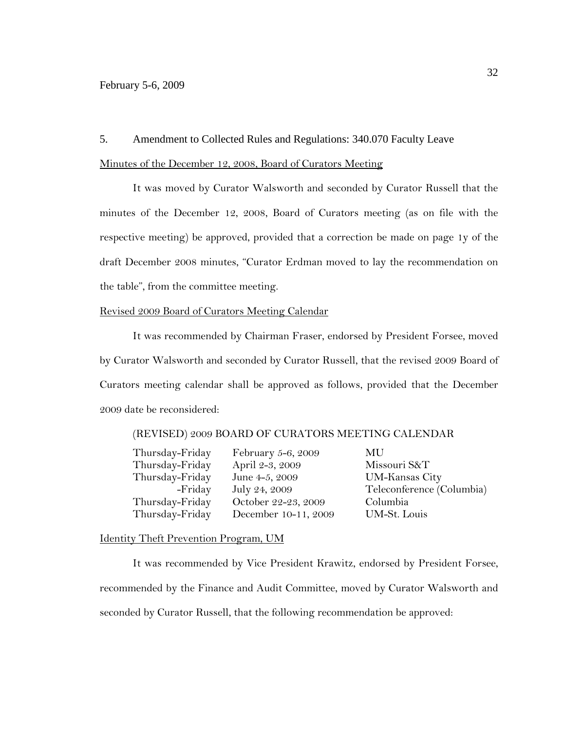### 5. Amendment to Collected Rules and Regulations: 340.070 Faculty Leave

### Minutes of the December 12, 2008, Board of Curators Meeting

It was moved by Curator Walsworth and seconded by Curator Russell that the minutes of the December 12, 2008, Board of Curators meeting (as on file with the respective meeting) be approved, provided that a correction be made on page 1y of the draft December 2008 minutes, "Curator Erdman moved to lay the recommendation on the table", from the committee meeting.

#### Revised 2009 Board of Curators Meeting Calendar

It was recommended by Chairman Fraser, endorsed by President Forsee, moved by Curator Walsworth and seconded by Curator Russell, that the revised 2009 Board of Curators meeting calendar shall be approved as follows, provided that the December 2009 date be reconsidered:

#### (REVISED) 2009 BOARD OF CURATORS MEETING CALENDAR

| February 5-6, 2009   | MU   |
|----------------------|------|
| April 2-3, 2009      | Mis  |
| June 4-5, 2009       | UM   |
| July 24, 2009        | Tele |
| October 22-23, 2009  | Colu |
| December 10-11, 2009 | UM   |
|                      |      |

Missouri S&T UM-Kansas City Teleconference (Columbia) Columbia 9 UM-St. Louis

### Identity Theft Prevention Program, UM

It was recommended by Vice President Krawitz, endorsed by President Forsee, recommended by the Finance and Audit Committee, moved by Curator Walsworth and seconded by Curator Russell, that the following recommendation be approved: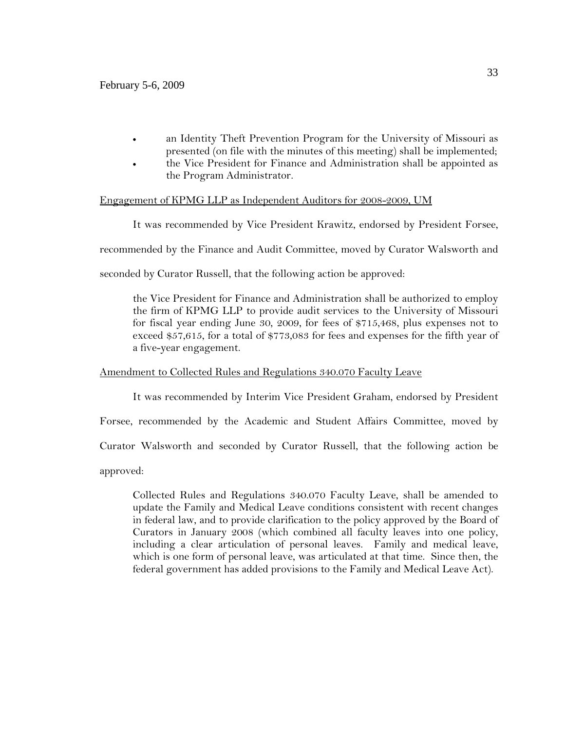- an Identity Theft Prevention Program for the University of Missouri as presented (on file with the minutes of this meeting) shall be implemented;
- the Vice President for Finance and Administration shall be appointed as the Program Administrator.

## Engagement of KPMG LLP as Independent Auditors for 2008-2009, UM

It was recommended by Vice President Krawitz, endorsed by President Forsee,

recommended by the Finance and Audit Committee, moved by Curator Walsworth and

seconded by Curator Russell, that the following action be approved:

the Vice President for Finance and Administration shall be authorized to employ the firm of KPMG LLP to provide audit services to the University of Missouri for fiscal year ending June 30, 2009, for fees of \$715,468, plus expenses not to exceed \$57,615, for a total of \$773,083 for fees and expenses for the fifth year of a five-year engagement.

## Amendment to Collected Rules and Regulations 340.070 Faculty Leave

It was recommended by Interim Vice President Graham, endorsed by President

Forsee, recommended by the Academic and Student Affairs Committee, moved by

Curator Walsworth and seconded by Curator Russell, that the following action be

approved:

Collected Rules and Regulations 340.070 Faculty Leave, shall be amended to update the Family and Medical Leave conditions consistent with recent changes in federal law, and to provide clarification to the policy approved by the Board of Curators in January 2008 (which combined all faculty leaves into one policy, including a clear articulation of personal leaves. Family and medical leave, which is one form of personal leave, was articulated at that time. Since then, the federal government has added provisions to the Family and Medical Leave Act).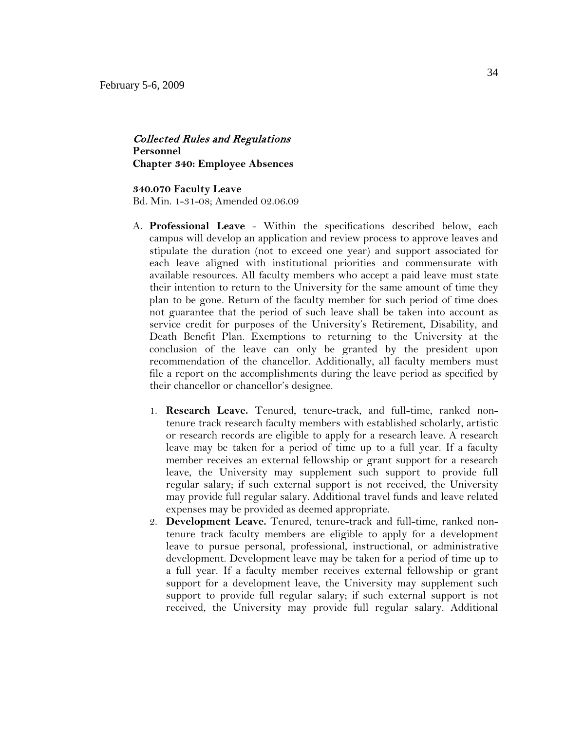## Collected Rules and Regulations **Personnel Chapter 340: Employee Absences**

#### **340.070 Faculty Leave**

Bd. Min. 1-31-08; Amended 02.06.09

- A. **Professional Leave**  Within the specifications described below, each campus will develop an application and review process to approve leaves and stipulate the duration (not to exceed one year) and support associated for each leave aligned with institutional priorities and commensurate with available resources. All faculty members who accept a paid leave must state their intention to return to the University for the same amount of time they plan to be gone. Return of the faculty member for such period of time does not guarantee that the period of such leave shall be taken into account as service credit for purposes of the University's Retirement, Disability, and Death Benefit Plan. Exemptions to returning to the University at the conclusion of the leave can only be granted by the president upon recommendation of the chancellor. Additionally, all faculty members must file a report on the accomplishments during the leave period as specified by their chancellor or chancellor's designee.
	- 1. **Research Leave.** Tenured, tenure-track, and full-time, ranked nontenure track research faculty members with established scholarly, artistic or research records are eligible to apply for a research leave. A research leave may be taken for a period of time up to a full year. If a faculty member receives an external fellowship or grant support for a research leave, the University may supplement such support to provide full regular salary; if such external support is not received, the University may provide full regular salary. Additional travel funds and leave related expenses may be provided as deemed appropriate.
	- 2. **Development Leave.** Tenured, tenure-track and full-time, ranked nontenure track faculty members are eligible to apply for a development leave to pursue personal, professional, instructional, or administrative development. Development leave may be taken for a period of time up to a full year. If a faculty member receives external fellowship or grant support for a development leave, the University may supplement such support to provide full regular salary; if such external support is not received, the University may provide full regular salary. Additional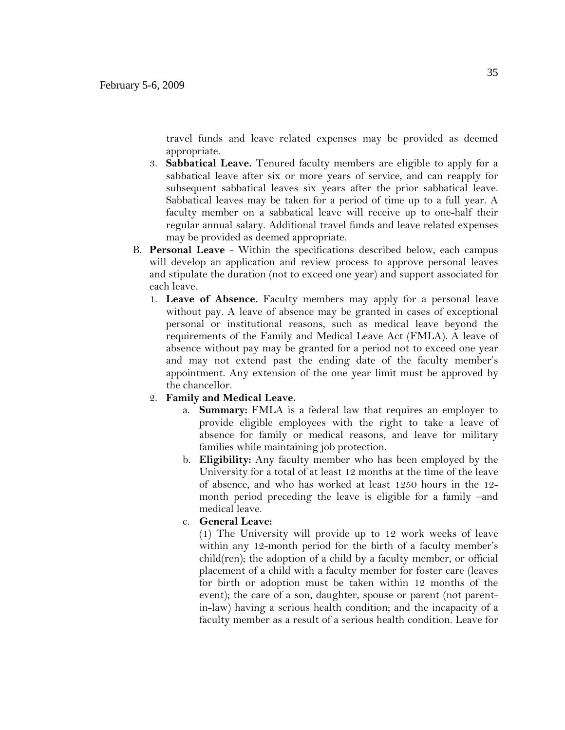travel funds and leave related expenses may be provided as deemed appropriate.

- 3. **Sabbatical Leave.** Tenured faculty members are eligible to apply for a sabbatical leave after six or more years of service, and can reapply for subsequent sabbatical leaves six years after the prior sabbatical leave. Sabbatical leaves may be taken for a period of time up to a full year. A faculty member on a sabbatical leave will receive up to one-half their regular annual salary. Additional travel funds and leave related expenses may be provided as deemed appropriate.
- B. **Personal Leave** Within the specifications described below, each campus will develop an application and review process to approve personal leaves and stipulate the duration (not to exceed one year) and support associated for each leave.
	- 1. **Leave of Absence.** Faculty members may apply for a personal leave without pay. A leave of absence may be granted in cases of exceptional personal or institutional reasons, such as medical leave beyond the requirements of the Family and Medical Leave Act (FMLA). A leave of absence without pay may be granted for a period not to exceed one year and may not extend past the ending date of the faculty member's appointment. Any extension of the one year limit must be approved by the chancellor.
	- 2. **Family and Medical Leave.**
		- a. **Summary:** FMLA is a federal law that requires an employer to provide eligible employees with the right to take a leave of absence for family or medical reasons, and leave for military families while maintaining job protection.
		- b. **Eligibility:** Any faculty member who has been employed by the University for a total of at least 12 months at the time of the leave of absence, and who has worked at least 1250 hours in the 12 month period preceding the leave is eligible for a family –and medical leave.
		- c. **General Leave:**

(1) The University will provide up to 12 work weeks of leave within any 12-month period for the birth of a faculty member's child(ren); the adoption of a child by a faculty member, or official placement of a child with a faculty member for foster care (leaves for birth or adoption must be taken within 12 months of the event); the care of a son, daughter, spouse or parent (not parentin-law) having a serious health condition; and the incapacity of a faculty member as a result of a serious health condition. Leave for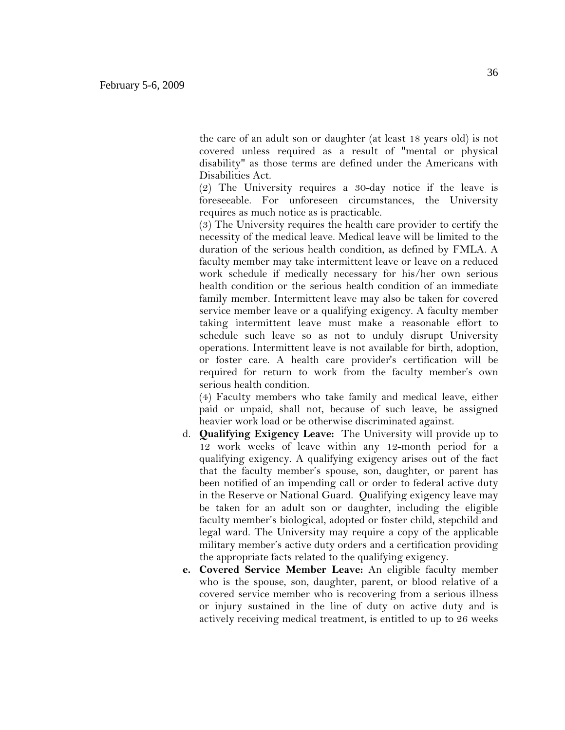the care of an adult son or daughter (at least 18 years old) is not covered unless required as a result of "mental or physical disability" as those terms are defined under the Americans with Disabilities Act.

(2) The University requires a 30-day notice if the leave is foreseeable. For unforeseen circumstances, the University requires as much notice as is practicable.

(3) The University requires the health care provider to certify the necessity of the medical leave. Medical leave will be limited to the duration of the serious health condition, as defined by FMLA. A faculty member may take intermittent leave or leave on a reduced work schedule if medically necessary for his/her own serious health condition or the serious health condition of an immediate family member. Intermittent leave may also be taken for covered service member leave or a qualifying exigency. A faculty member taking intermittent leave must make a reasonable effort to schedule such leave so as not to unduly disrupt University operations. Intermittent leave is not available for birth, adoption, or foster care. A health care provider's certification will be required for return to work from the faculty member's own serious health condition.

(4) Faculty members who take family and medical leave, either paid or unpaid, shall not, because of such leave, be assigned heavier work load or be otherwise discriminated against.

- d. **Qualifying Exigency Leave:** The University will provide up to 12 work weeks of leave within any 12-month period for a qualifying exigency. A qualifying exigency arises out of the fact that the faculty member's spouse, son, daughter, or parent has been notified of an impending call or order to federal active duty in the Reserve or National Guard. Qualifying exigency leave may be taken for an adult son or daughter, including the eligible faculty member's biological, adopted or foster child, stepchild and legal ward. The University may require a copy of the applicable military member's active duty orders and a certification providing the appropriate facts related to the qualifying exigency.
- **e. Covered Service Member Leave:** An eligible faculty member who is the spouse, son, daughter, parent, or blood relative of a covered service member who is recovering from a serious illness or injury sustained in the line of duty on active duty and is actively receiving medical treatment, is entitled to up to 26 weeks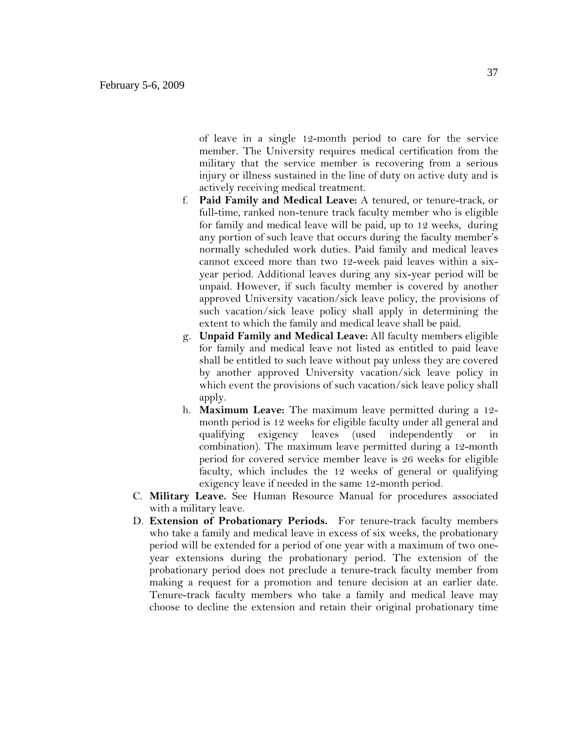of leave in a single 12-month period to care for the service member. The University requires medical certification from the military that the service member is recovering from a serious injury or illness sustained in the line of duty on active duty and is actively receiving medical treatment.

- f. **Paid Family and Medical Leave:** A tenured, or tenure-track, or full-time, ranked non-tenure track faculty member who is eligible for family and medical leave will be paid, up to 12 weeks, during any portion of such leave that occurs during the faculty member's normally scheduled work duties. Paid family and medical leaves cannot exceed more than two 12-week paid leaves within a sixyear period. Additional leaves during any six-year period will be unpaid. However, if such faculty member is covered by another approved University vacation/sick leave policy, the provisions of such vacation/sick leave policy shall apply in determining the extent to which the family and medical leave shall be paid.
- g. **Unpaid Family and Medical Leave:** All faculty members eligible for family and medical leave not listed as entitled to paid leave shall be entitled to such leave without pay unless they are covered by another approved University vacation/sick leave policy in which event the provisions of such vacation/sick leave policy shall apply.
- h. **Maximum Leave:** The maximum leave permitted during a 12 month period is 12 weeks for eligible faculty under all general and qualifying exigency leaves (used independently or in combination). The maximum leave permitted during a 12-month period for covered service member leave is 26 weeks for eligible faculty, which includes the 12 weeks of general or qualifying exigency leave if needed in the same 12-month period.
- C. **Military Leave.** See Human Resource Manual for procedures associated with a military leave.
- D. **Extension of Probationary Periods.** For tenure-track faculty members who take a family and medical leave in excess of six weeks, the probationary period will be extended for a period of one year with a maximum of two oneyear extensions during the probationary period. The extension of the probationary period does not preclude a tenure-track faculty member from making a request for a promotion and tenure decision at an earlier date. Tenure-track faculty members who take a family and medical leave may choose to decline the extension and retain their original probationary time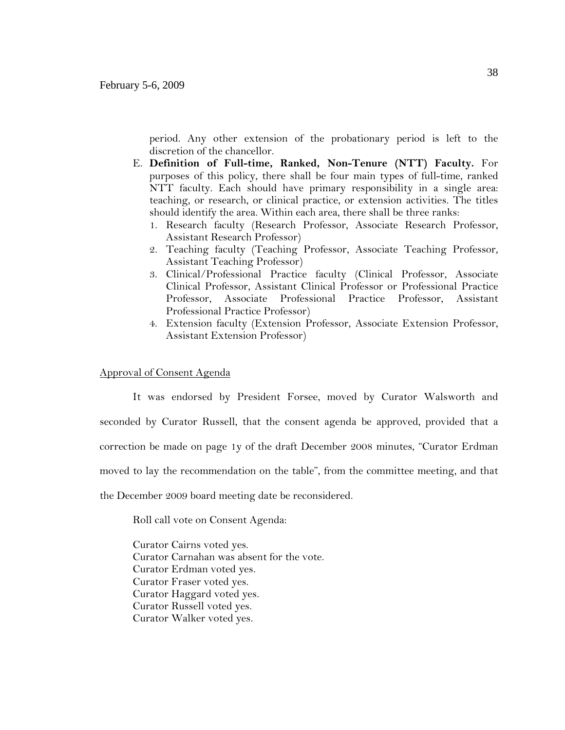period. Any other extension of the probationary period is left to the discretion of the chancellor.

- E. **Definition of Full-time, Ranked, Non-Tenure (NTT) Faculty.** For purposes of this policy, there shall be four main types of full-time, ranked NTT faculty. Each should have primary responsibility in a single area: teaching, or research, or clinical practice, or extension activities. The titles should identify the area. Within each area, there shall be three ranks:
	- 1. Research faculty (Research Professor, Associate Research Professor, Assistant Research Professor)
	- 2. Teaching faculty (Teaching Professor, Associate Teaching Professor, Assistant Teaching Professor)
	- 3. Clinical/Professional Practice faculty (Clinical Professor, Associate Clinical Professor, Assistant Clinical Professor or Professional Practice Professor, Associate Professional Practice Professor, Assistant Professional Practice Professor)
	- 4. Extension faculty (Extension Professor, Associate Extension Professor, Assistant Extension Professor)

### Approval of Consent Agenda

It was endorsed by President Forsee, moved by Curator Walsworth and seconded by Curator Russell, that the consent agenda be approved, provided that a correction be made on page 1y of the draft December 2008 minutes, "Curator Erdman moved to lay the recommendation on the table", from the committee meeting, and that the December 2009 board meeting date be reconsidered.

Roll call vote on Consent Agenda:

Curator Cairns voted yes. Curator Carnahan was absent for the vote. Curator Erdman voted yes. Curator Fraser voted yes. Curator Haggard voted yes. Curator Russell voted yes. Curator Walker voted yes.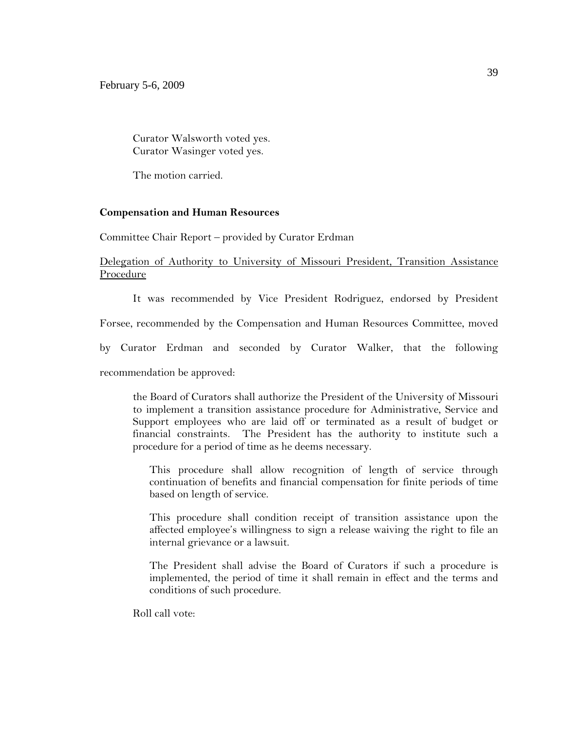Curator Walsworth voted yes. Curator Wasinger voted yes.

The motion carried.

### **Compensation and Human Resources**

Committee Chair Report – provided by Curator Erdman

## Delegation of Authority to University of Missouri President, Transition Assistance Procedure

It was recommended by Vice President Rodriguez, endorsed by President

Forsee, recommended by the Compensation and Human Resources Committee, moved

by Curator Erdman and seconded by Curator Walker, that the following

recommendation be approved:

the Board of Curators shall authorize the President of the University of Missouri to implement a transition assistance procedure for Administrative, Service and Support employees who are laid off or terminated as a result of budget or financial constraints. The President has the authority to institute such a procedure for a period of time as he deems necessary.

This procedure shall allow recognition of length of service through continuation of benefits and financial compensation for finite periods of time based on length of service.

This procedure shall condition receipt of transition assistance upon the affected employee's willingness to sign a release waiving the right to file an internal grievance or a lawsuit.

The President shall advise the Board of Curators if such a procedure is implemented, the period of time it shall remain in effect and the terms and conditions of such procedure.

Roll call vote: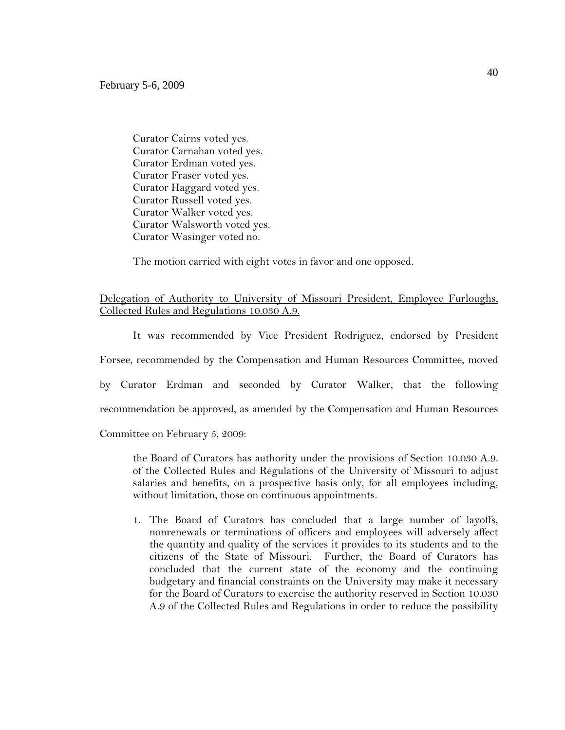Curator Cairns voted yes. Curator Carnahan voted yes. Curator Erdman voted yes. Curator Fraser voted yes. Curator Haggard voted yes. Curator Russell voted yes. Curator Walker voted yes. Curator Walsworth voted yes. Curator Wasinger voted no.

The motion carried with eight votes in favor and one opposed.

# Delegation of Authority to University of Missouri President, Employee Furloughs, Collected Rules and Regulations 10.030 A.9.

It was recommended by Vice President Rodriguez, endorsed by President Forsee, recommended by the Compensation and Human Resources Committee, moved

by Curator Erdman and seconded by Curator Walker, that the following

recommendation be approved, as amended by the Compensation and Human Resources

Committee on February 5, 2009:

the Board of Curators has authority under the provisions of Section 10.030 A.9. of the Collected Rules and Regulations of the University of Missouri to adjust salaries and benefits, on a prospective basis only, for all employees including, without limitation, those on continuous appointments.

1. The Board of Curators has concluded that a large number of layoffs, nonrenewals or terminations of officers and employees will adversely affect the quantity and quality of the services it provides to its students and to the citizens of the State of Missouri. Further, the Board of Curators has concluded that the current state of the economy and the continuing budgetary and financial constraints on the University may make it necessary for the Board of Curators to exercise the authority reserved in Section 10.030 A.9 of the Collected Rules and Regulations in order to reduce the possibility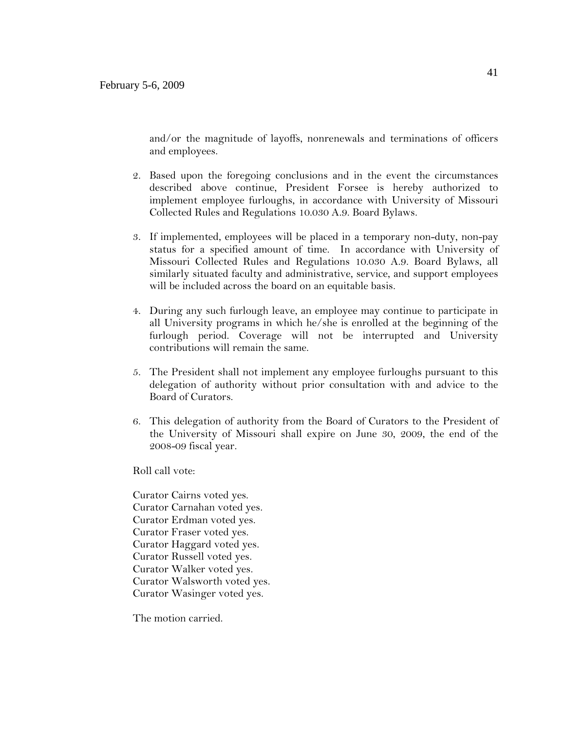and/or the magnitude of layoffs, nonrenewals and terminations of officers and employees.

- 2. Based upon the foregoing conclusions and in the event the circumstances described above continue, President Forsee is hereby authorized to implement employee furloughs, in accordance with University of Missouri Collected Rules and Regulations 10.030 A.9. Board Bylaws.
- 3. If implemented, employees will be placed in a temporary non-duty, non-pay status for a specified amount of time. In accordance with University of Missouri Collected Rules and Regulations 10.030 A.9. Board Bylaws, all similarly situated faculty and administrative, service, and support employees will be included across the board on an equitable basis.
- 4. During any such furlough leave, an employee may continue to participate in all University programs in which he/she is enrolled at the beginning of the furlough period. Coverage will not be interrupted and University contributions will remain the same.
- 5. The President shall not implement any employee furloughs pursuant to this delegation of authority without prior consultation with and advice to the Board of Curators.
- 6. This delegation of authority from the Board of Curators to the President of the University of Missouri shall expire on June 30, 2009, the end of the 2008-09 fiscal year.

Roll call vote:

Curator Cairns voted yes. Curator Carnahan voted yes. Curator Erdman voted yes. Curator Fraser voted yes. Curator Haggard voted yes. Curator Russell voted yes. Curator Walker voted yes. Curator Walsworth voted yes. Curator Wasinger voted yes.

The motion carried.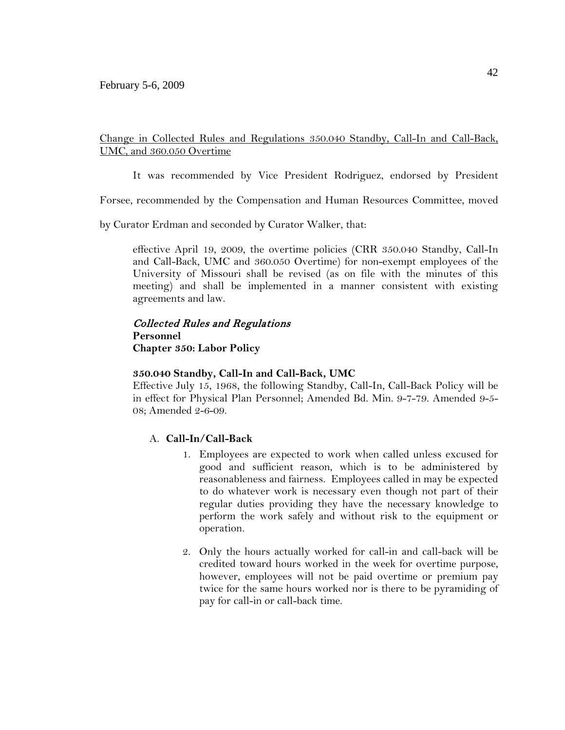# Change in Collected Rules and Regulations 350.040 Standby, Call-In and Call-Back, UMC, and 360.050 Overtime

It was recommended by Vice President Rodriguez, endorsed by President

Forsee, recommended by the Compensation and Human Resources Committee, moved

by Curator Erdman and seconded by Curator Walker, that:

effective April 19, 2009, the overtime policies (CRR 350.040 Standby, Call-In and Call-Back, UMC and 360.050 Overtime) for non-exempt employees of the University of Missouri shall be revised (as on file with the minutes of this meeting) and shall be implemented in a manner consistent with existing agreements and law.

# Collected Rules and Regulations **Personnel Chapter 350: Labor Policy**

## **350.040 Standby, Call-In and Call-Back, UMC**

Effective July 15, 1968, the following Standby, Call-In, Call-Back Policy will be in effect for Physical Plan Personnel; Amended Bd. Min. 9-7-79. Amended 9-5- 08; Amended 2-6-09.

## A. **Call-In/Call-Back**

- 1. Employees are expected to work when called unless excused for good and sufficient reason, which is to be administered by reasonableness and fairness. Employees called in may be expected to do whatever work is necessary even though not part of their regular duties providing they have the necessary knowledge to perform the work safely and without risk to the equipment or operation.
- 2. Only the hours actually worked for call-in and call-back will be credited toward hours worked in the week for overtime purpose, however, employees will not be paid overtime or premium pay twice for the same hours worked nor is there to be pyramiding of pay for call-in or call-back time.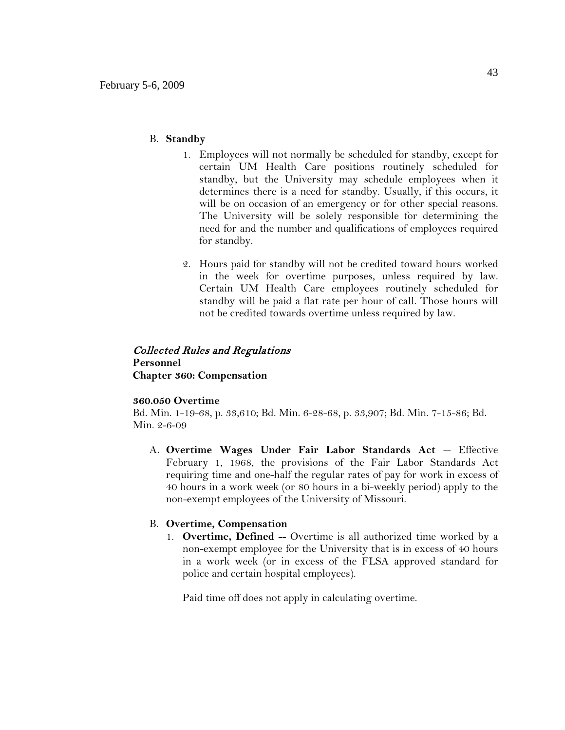### B. **Standby**

- 1. Employees will not normally be scheduled for standby, except for certain UM Health Care positions routinely scheduled for standby, but the University may schedule employees when it determines there is a need for standby. Usually, if this occurs, it will be on occasion of an emergency or for other special reasons. The University will be solely responsible for determining the need for and the number and qualifications of employees required for standby.
- 2. Hours paid for standby will not be credited toward hours worked in the week for overtime purposes, unless required by law. Certain UM Health Care employees routinely scheduled for standby will be paid a flat rate per hour of call. Those hours will not be credited towards overtime unless required by law.

## Collected Rules and Regulations **Personnel Chapter 360: Compensation**

### **360.050 Overtime**

Bd. Min. 1-19-68, p. 33,610; Bd. Min. 6-28-68, p. 33,907; Bd. Min. 7-15-86; Bd. Min. 2-6-09

A. **Overtime Wages Under Fair Labor Standards Act** -- Effective February 1, 1968, the provisions of the Fair Labor Standards Act requiring time and one-half the regular rates of pay for work in excess of 40 hours in a work week (or 80 hours in a bi-weekly period) apply to the non-exempt employees of the University of Missouri.

### B. **Overtime, Compensation**

1. **Overtime, Defined** -- Overtime is all authorized time worked by a non-exempt employee for the University that is in excess of 40 hours in a work week (or in excess of the FLSA approved standard for police and certain hospital employees).

Paid time off does not apply in calculating overtime.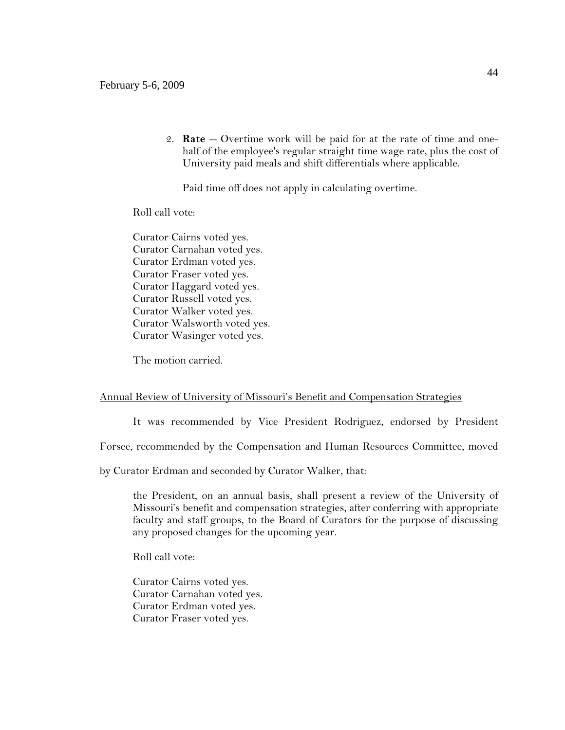2. **Rate** -- Overtime work will be paid for at the rate of time and onehalf of the employee's regular straight time wage rate, plus the cost of University paid meals and shift differentials where applicable.

Paid time off does not apply in calculating overtime.

Roll call vote:

Curator Cairns voted yes. Curator Carnahan voted yes. Curator Erdman voted yes. Curator Fraser voted yes. Curator Haggard voted yes. Curator Russell voted yes. Curator Walker voted yes. Curator Walsworth voted yes. Curator Wasinger voted yes.

The motion carried.

### Annual Review of University of Missouri's Benefit and Compensation Strategies

It was recommended by Vice President Rodriguez, endorsed by President

Forsee, recommended by the Compensation and Human Resources Committee, moved

by Curator Erdman and seconded by Curator Walker, that:

the President, on an annual basis, shall present a review of the University of Missouri's benefit and compensation strategies, after conferring with appropriate faculty and staff groups, to the Board of Curators for the purpose of discussing any proposed changes for the upcoming year.

Roll call vote:

Curator Cairns voted yes. Curator Carnahan voted yes. Curator Erdman voted yes. Curator Fraser voted yes.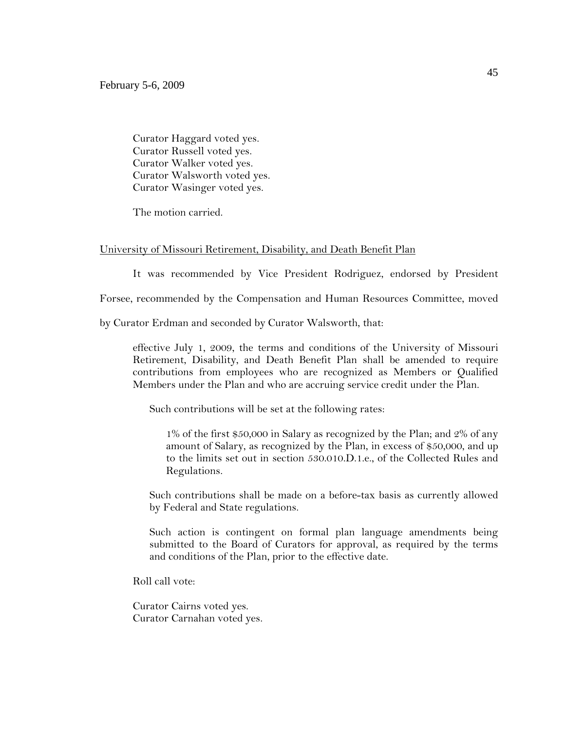Curator Haggard voted yes. Curator Russell voted yes. Curator Walker voted yes. Curator Walsworth voted yes. Curator Wasinger voted yes.

The motion carried.

### University of Missouri Retirement, Disability, and Death Benefit Plan

It was recommended by Vice President Rodriguez, endorsed by President

Forsee, recommended by the Compensation and Human Resources Committee, moved

by Curator Erdman and seconded by Curator Walsworth, that:

effective July 1, 2009, the terms and conditions of the University of Missouri Retirement, Disability, and Death Benefit Plan shall be amended to require contributions from employees who are recognized as Members or Qualified Members under the Plan and who are accruing service credit under the Plan.

Such contributions will be set at the following rates:

1% of the first \$50,000 in Salary as recognized by the Plan; and 2% of any amount of Salary, as recognized by the Plan, in excess of \$50,000, and up to the limits set out in section 530.010.D.1.e., of the Collected Rules and Regulations.

Such contributions shall be made on a before-tax basis as currently allowed by Federal and State regulations.

Such action is contingent on formal plan language amendments being submitted to the Board of Curators for approval, as required by the terms and conditions of the Plan, prior to the effective date.

Roll call vote:

Curator Cairns voted yes. Curator Carnahan voted yes.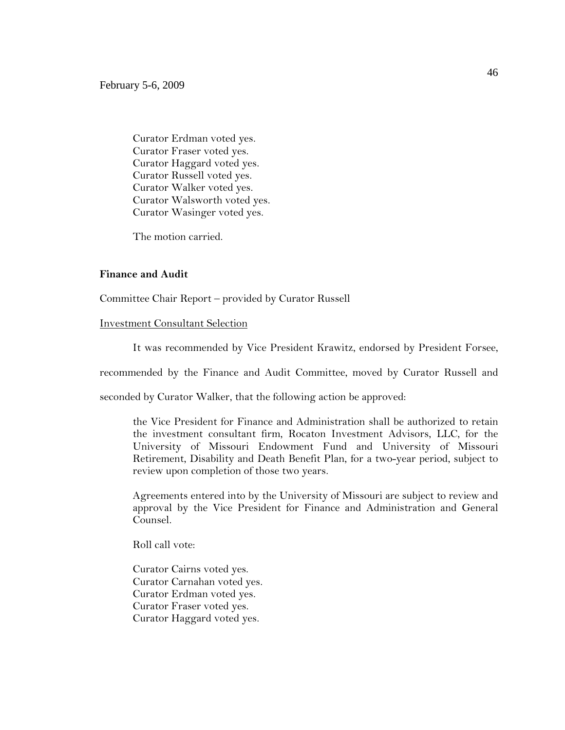Curator Erdman voted yes. Curator Fraser voted yes. Curator Haggard voted yes. Curator Russell voted yes. Curator Walker voted yes. Curator Walsworth voted yes. Curator Wasinger voted yes.

The motion carried.

### **Finance and Audit**

Committee Chair Report – provided by Curator Russell

#### Investment Consultant Selection

It was recommended by Vice President Krawitz, endorsed by President Forsee,

recommended by the Finance and Audit Committee, moved by Curator Russell and

seconded by Curator Walker, that the following action be approved:

the Vice President for Finance and Administration shall be authorized to retain the investment consultant firm, Rocaton Investment Advisors, LLC, for the University of Missouri Endowment Fund and University of Missouri Retirement, Disability and Death Benefit Plan, for a two-year period, subject to review upon completion of those two years.

Agreements entered into by the University of Missouri are subject to review and approval by the Vice President for Finance and Administration and General Counsel.

Roll call vote:

Curator Cairns voted yes. Curator Carnahan voted yes. Curator Erdman voted yes. Curator Fraser voted yes. Curator Haggard voted yes.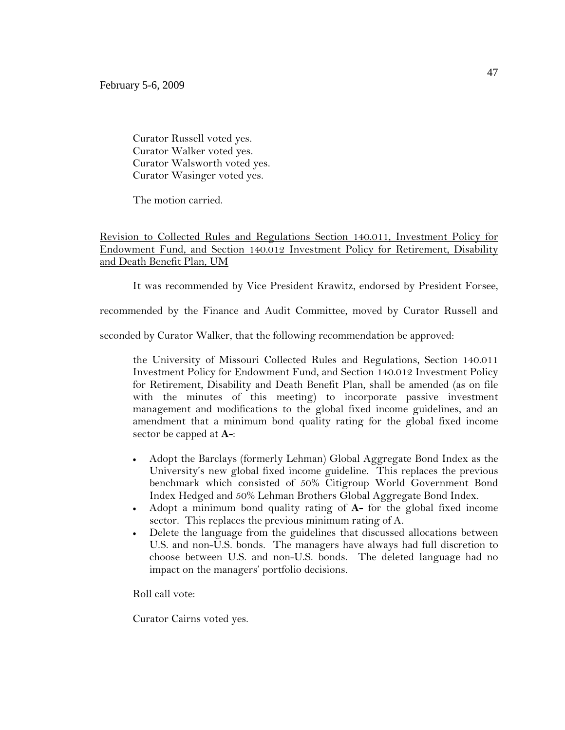Curator Russell voted yes. Curator Walker voted yes. Curator Walsworth voted yes. Curator Wasinger voted yes.

The motion carried.

# Revision to Collected Rules and Regulations Section 140.011, Investment Policy for Endowment Fund, and Section 140.012 Investment Policy for Retirement, Disability and Death Benefit Plan, UM

It was recommended by Vice President Krawitz, endorsed by President Forsee,

recommended by the Finance and Audit Committee, moved by Curator Russell and

seconded by Curator Walker, that the following recommendation be approved:

the University of Missouri Collected Rules and Regulations, Section 140.011 Investment Policy for Endowment Fund, and Section 140.012 Investment Policy for Retirement, Disability and Death Benefit Plan, shall be amended (as on file with the minutes of this meeting) to incorporate passive investment management and modifications to the global fixed income guidelines, and an amendment that a minimum bond quality rating for the global fixed income sector be capped at **A-**:

- Adopt the Barclays (formerly Lehman) Global Aggregate Bond Index as the University's new global fixed income guideline. This replaces the previous benchmark which consisted of 50% Citigroup World Government Bond Index Hedged and 50% Lehman Brothers Global Aggregate Bond Index.
- Adopt a minimum bond quality rating of **A-** for the global fixed income sector. This replaces the previous minimum rating of A.
- Delete the language from the guidelines that discussed allocations between U.S. and non-U.S. bonds. The managers have always had full discretion to choose between U.S. and non-U.S. bonds. The deleted language had no impact on the managers' portfolio decisions.

Roll call vote:

Curator Cairns voted yes.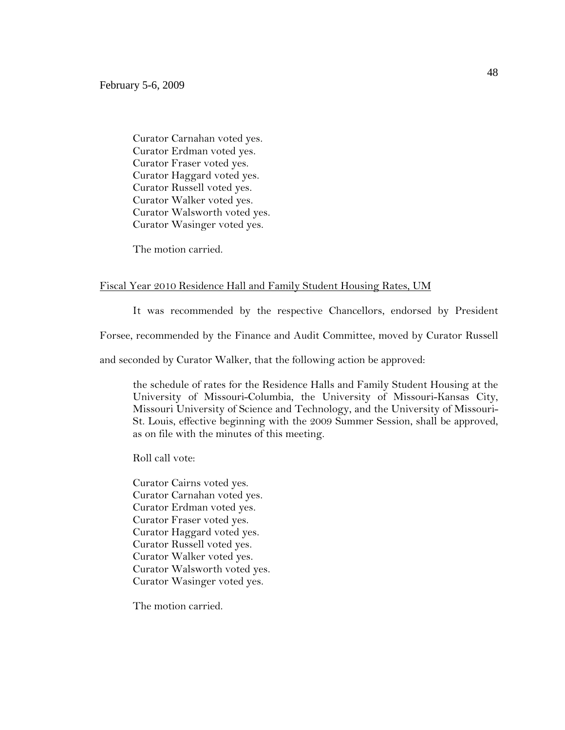Curator Carnahan voted yes. Curator Erdman voted yes. Curator Fraser voted yes. Curator Haggard voted yes. Curator Russell voted yes. Curator Walker voted yes. Curator Walsworth voted yes. Curator Wasinger voted yes.

The motion carried.

## Fiscal Year 2010 Residence Hall and Family Student Housing Rates, UM

It was recommended by the respective Chancellors, endorsed by President

Forsee, recommended by the Finance and Audit Committee, moved by Curator Russell

and seconded by Curator Walker, that the following action be approved:

the schedule of rates for the Residence Halls and Family Student Housing at the University of Missouri-Columbia, the University of Missouri-Kansas City, Missouri University of Science and Technology, and the University of Missouri-St. Louis, effective beginning with the 2009 Summer Session, shall be approved, as on file with the minutes of this meeting.

Roll call vote:

Curator Cairns voted yes. Curator Carnahan voted yes. Curator Erdman voted yes. Curator Fraser voted yes. Curator Haggard voted yes. Curator Russell voted yes. Curator Walker voted yes. Curator Walsworth voted yes. Curator Wasinger voted yes.

The motion carried.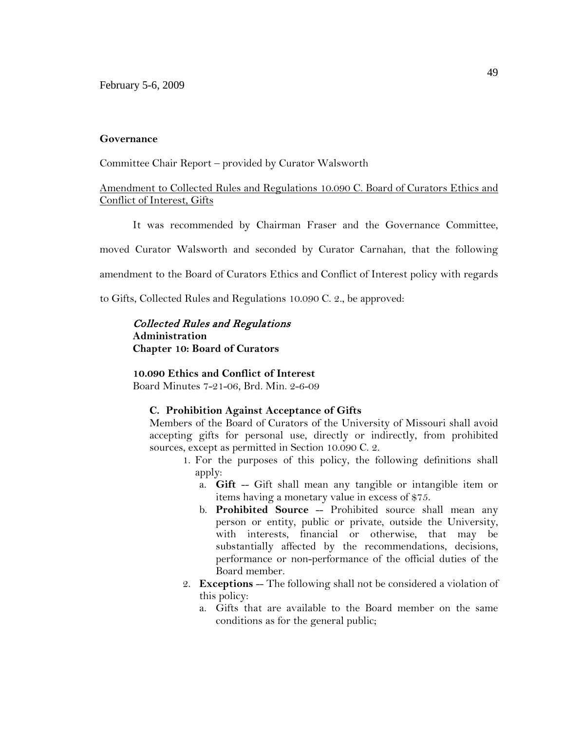### **Governance**

Committee Chair Report – provided by Curator Walsworth

## Amendment to Collected Rules and Regulations 10.090 C. Board of Curators Ethics and Conflict of Interest, Gifts

It was recommended by Chairman Fraser and the Governance Committee,

moved Curator Walsworth and seconded by Curator Carnahan, that the following

amendment to the Board of Curators Ethics and Conflict of Interest policy with regards

to Gifts, Collected Rules and Regulations 10.090 C. 2., be approved:

# Collected Rules and Regulations **Administration Chapter 10: Board of Curators**

**10.090 Ethics and Conflict of Interest**

Board Minutes 7-21-06, Brd. Min. 2-6-09

### **C. Prohibition Against Acceptance of Gifts**

Members of the Board of Curators of the University of Missouri shall avoid accepting gifts for personal use, directly or indirectly, from prohibited sources, except as permitted in Section 10.090 C. 2.

- 1. For the purposes of this policy, the following definitions shall apply:
	- a. **Gift** -- Gift shall mean any tangible or intangible item or items having a monetary value in excess of \$75.
	- b. **Prohibited Source** -- Prohibited source shall mean any person or entity, public or private, outside the University, with interests, financial or otherwise, that may be substantially affected by the recommendations, decisions, performance or non-performance of the official duties of the Board member.
- 2. **Exceptions** -- The following shall not be considered a violation of this policy:
	- a. Gifts that are available to the Board member on the same conditions as for the general public;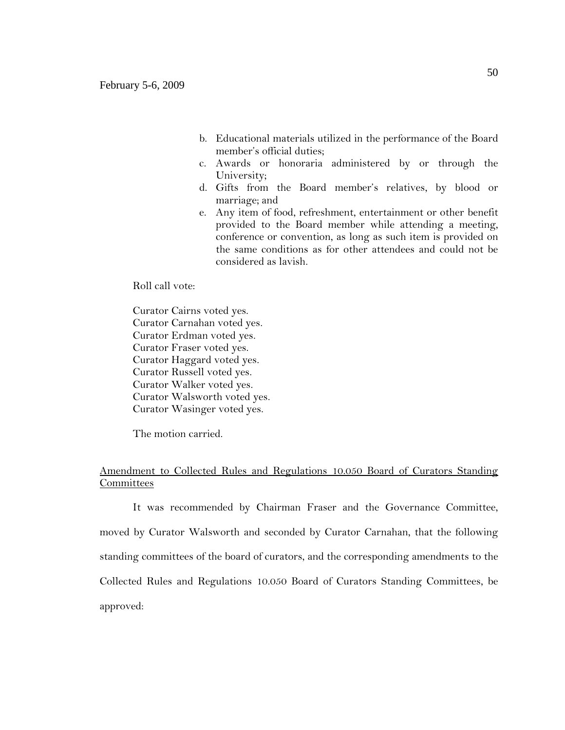- b. Educational materials utilized in the performance of the Board member's official duties;
- c. Awards or honoraria administered by or through the University;
- d. Gifts from the Board member's relatives, by blood or marriage; and
- e. Any item of food, refreshment, entertainment or other benefit provided to the Board member while attending a meeting, conference or convention, as long as such item is provided on the same conditions as for other attendees and could not be considered as lavish.

Roll call vote:

Curator Cairns voted yes. Curator Carnahan voted yes. Curator Erdman voted yes. Curator Fraser voted yes. Curator Haggard voted yes. Curator Russell voted yes. Curator Walker voted yes. Curator Walsworth voted yes. Curator Wasinger voted yes.

The motion carried.

# Amendment to Collected Rules and Regulations 10.050 Board of Curators Standing **Committees**

It was recommended by Chairman Fraser and the Governance Committee, moved by Curator Walsworth and seconded by Curator Carnahan, that the following standing committees of the board of curators, and the corresponding amendments to the Collected Rules and Regulations 10.050 Board of Curators Standing Committees, be approved: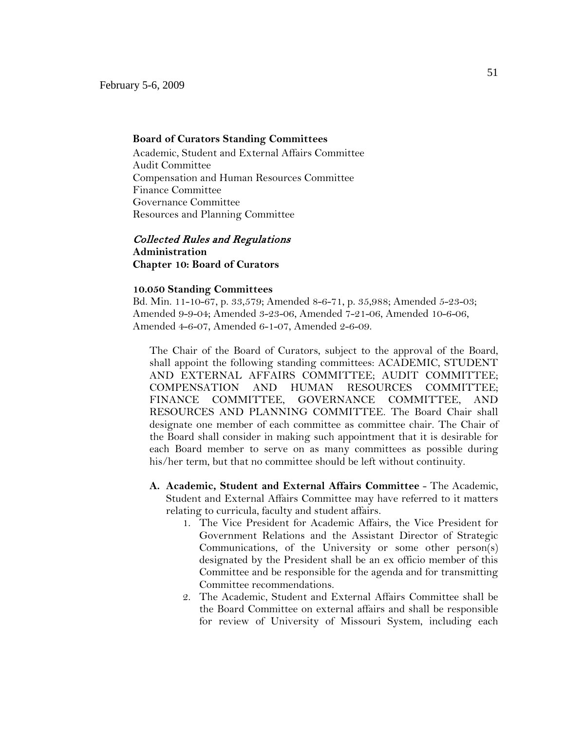### **Board of Curators Standing Committees**

Academic, Student and External Affairs Committee Audit Committee Compensation and Human Resources Committee Finance Committee Governance Committee Resources and Planning Committee

## Collected Rules and Regulations **Administration**

**Chapter 10: Board of Curators**

### **10.050 Standing Committees**

Bd. Min. 11-10-67, p. 33,579; Amended 8-6-71, p. 35,988; Amended 5-23-03; Amended 9-9-04; Amended 3-23-06, Amended 7-21-06, Amended 10-6-06, Amended 4-6-07, Amended 6-1-07, Amended 2-6-09.

The Chair of the Board of Curators, subject to the approval of the Board, shall appoint the following standing committees: ACADEMIC, STUDENT AND EXTERNAL AFFAIRS COMMITTEE; AUDIT COMMITTEE; COMPENSATION AND HUMAN RESOURCES COMMITTEE; FINANCE COMMITTEE, GOVERNANCE COMMITTEE, AND RESOURCES AND PLANNING COMMITTEE. The Board Chair shall designate one member of each committee as committee chair. The Chair of the Board shall consider in making such appointment that it is desirable for each Board member to serve on as many committees as possible during his/her term, but that no committee should be left without continuity.

- **A. Academic, Student and External Affairs Committee** The Academic, Student and External Affairs Committee may have referred to it matters relating to curricula, faculty and student affairs.
	- 1. The Vice President for Academic Affairs, the Vice President for Government Relations and the Assistant Director of Strategic Communications, of the University or some other person(s) designated by the President shall be an ex officio member of this Committee and be responsible for the agenda and for transmitting Committee recommendations.
	- 2. The Academic, Student and External Affairs Committee shall be the Board Committee on external affairs and shall be responsible for review of University of Missouri System, including each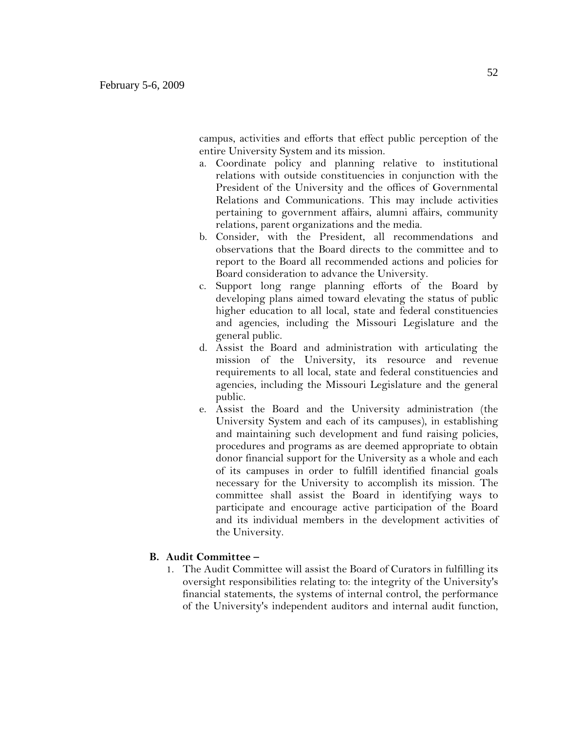campus, activities and efforts that effect public perception of the entire University System and its mission.

- a. Coordinate policy and planning relative to institutional relations with outside constituencies in conjunction with the President of the University and the offices of Governmental Relations and Communications. This may include activities pertaining to government affairs, alumni affairs, community relations, parent organizations and the media.
- b. Consider, with the President, all recommendations and observations that the Board directs to the committee and to report to the Board all recommended actions and policies for Board consideration to advance the University.
- c. Support long range planning efforts of the Board by developing plans aimed toward elevating the status of public higher education to all local, state and federal constituencies and agencies, including the Missouri Legislature and the general public.
- d. Assist the Board and administration with articulating the mission of the University, its resource and revenue requirements to all local, state and federal constituencies and agencies, including the Missouri Legislature and the general public.
- e. Assist the Board and the University administration (the University System and each of its campuses), in establishing and maintaining such development and fund raising policies, procedures and programs as are deemed appropriate to obtain donor financial support for the University as a whole and each of its campuses in order to fulfill identified financial goals necessary for the University to accomplish its mission. The committee shall assist the Board in identifying ways to participate and encourage active participation of the Board and its individual members in the development activities of the University.

## **B. Audit Committee –**

1. The Audit Committee will assist the Board of Curators in fulfilling its oversight responsibilities relating to: the integrity of the University's financial statements, the systems of internal control, the performance of the University's independent auditors and internal audit function,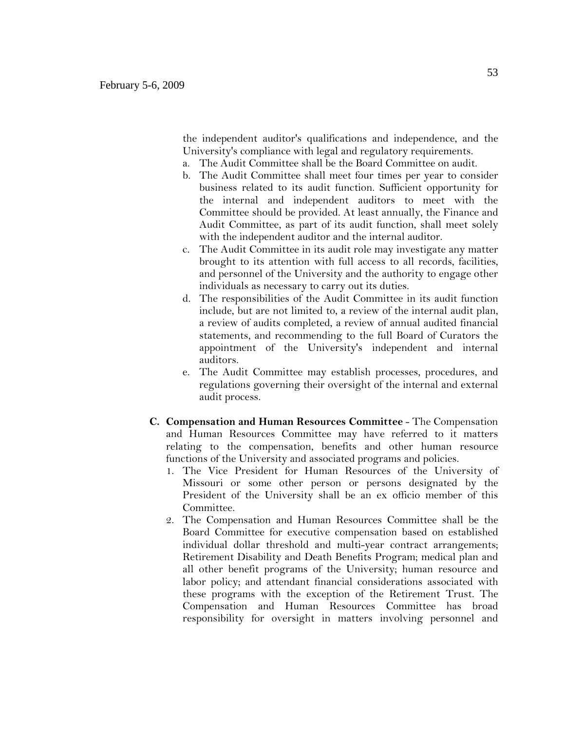the independent auditor's qualifications and independence, and the University's compliance with legal and regulatory requirements.

- a. The Audit Committee shall be the Board Committee on audit.
- b. The Audit Committee shall meet four times per year to consider business related to its audit function. Sufficient opportunity for the internal and independent auditors to meet with the Committee should be provided. At least annually, the Finance and Audit Committee, as part of its audit function, shall meet solely with the independent auditor and the internal auditor.
- c. The Audit Committee in its audit role may investigate any matter brought to its attention with full access to all records, facilities, and personnel of the University and the authority to engage other individuals as necessary to carry out its duties.
- d. The responsibilities of the Audit Committee in its audit function include, but are not limited to, a review of the internal audit plan, a review of audits completed, a review of annual audited financial statements, and recommending to the full Board of Curators the appointment of the University's independent and internal auditors.
- e. The Audit Committee may establish processes, procedures, and regulations governing their oversight of the internal and external audit process.
- **C. Compensation and Human Resources Committee** The Compensation and Human Resources Committee may have referred to it matters relating to the compensation, benefits and other human resource functions of the University and associated programs and policies.
	- 1. The Vice President for Human Resources of the University of Missouri or some other person or persons designated by the President of the University shall be an ex officio member of this Committee.
	- 2. The Compensation and Human Resources Committee shall be the Board Committee for executive compensation based on established individual dollar threshold and multi-year contract arrangements; Retirement Disability and Death Benefits Program; medical plan and all other benefit programs of the University; human resource and labor policy; and attendant financial considerations associated with these programs with the exception of the Retirement Trust. The Compensation and Human Resources Committee has broad responsibility for oversight in matters involving personnel and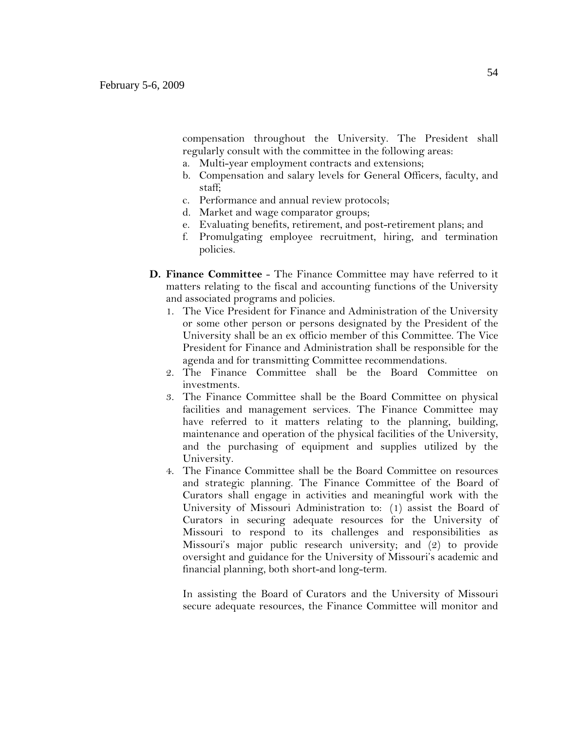compensation throughout the University. The President shall regularly consult with the committee in the following areas:

- a. Multi-year employment contracts and extensions;
- b. Compensation and salary levels for General Officers, faculty, and staff;
- c. Performance and annual review protocols;
- d. Market and wage comparator groups;
- e. Evaluating benefits, retirement, and post-retirement plans; and
- f. Promulgating employee recruitment, hiring, and termination policies.
- **D. Finance Committee** The Finance Committee may have referred to it matters relating to the fiscal and accounting functions of the University and associated programs and policies.
	- 1. The Vice President for Finance and Administration of the University or some other person or persons designated by the President of the University shall be an ex officio member of this Committee. The Vice President for Finance and Administration shall be responsible for the agenda and for transmitting Committee recommendations.
	- 2. The Finance Committee shall be the Board Committee on investments.
	- 3. The Finance Committee shall be the Board Committee on physical facilities and management services. The Finance Committee may have referred to it matters relating to the planning, building, maintenance and operation of the physical facilities of the University, and the purchasing of equipment and supplies utilized by the University.
	- 4. The Finance Committee shall be the Board Committee on resources and strategic planning. The Finance Committee of the Board of Curators shall engage in activities and meaningful work with the University of Missouri Administration to: (1) assist the Board of Curators in securing adequate resources for the University of Missouri to respond to its challenges and responsibilities as Missouri's major public research university; and (2) to provide oversight and guidance for the University of Missouri's academic and financial planning, both short-and long-term.

In assisting the Board of Curators and the University of Missouri secure adequate resources, the Finance Committee will monitor and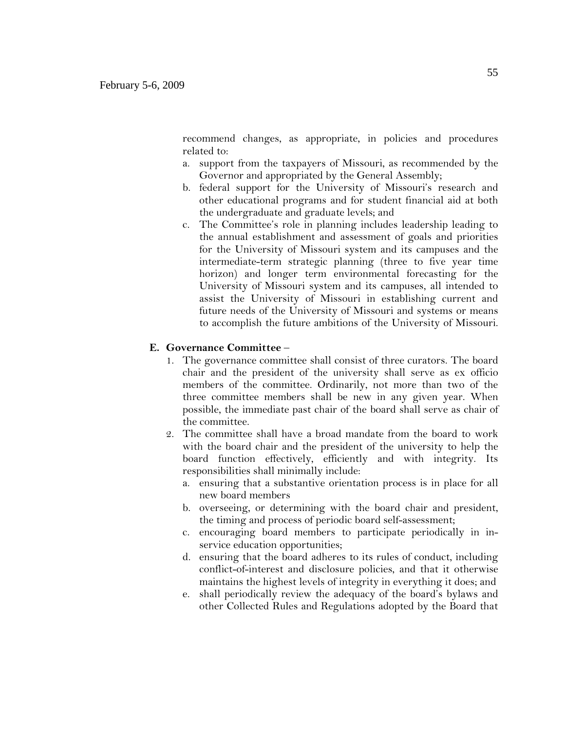recommend changes, as appropriate, in policies and procedures related to:

- a. support from the taxpayers of Missouri, as recommended by the Governor and appropriated by the General Assembly;
- b. federal support for the University of Missouri's research and other educational programs and for student financial aid at both the undergraduate and graduate levels; and
- c. The Committee's role in planning includes leadership leading to the annual establishment and assessment of goals and priorities for the University of Missouri system and its campuses and the intermediate-term strategic planning (three to five year time horizon) and longer term environmental forecasting for the University of Missouri system and its campuses, all intended to assist the University of Missouri in establishing current and future needs of the University of Missouri and systems or means to accomplish the future ambitions of the University of Missouri.

### **E. Governance Committee** –

- 1. The governance committee shall consist of three curators. The board chair and the president of the university shall serve as ex officio members of the committee. Ordinarily, not more than two of the three committee members shall be new in any given year. When possible, the immediate past chair of the board shall serve as chair of the committee.
- 2. The committee shall have a broad mandate from the board to work with the board chair and the president of the university to help the board function effectively, efficiently and with integrity. Its responsibilities shall minimally include:
	- a. ensuring that a substantive orientation process is in place for all new board members
	- b. overseeing, or determining with the board chair and president, the timing and process of periodic board self-assessment;
	- c. encouraging board members to participate periodically in inservice education opportunities;
	- d. ensuring that the board adheres to its rules of conduct, including conflict-of-interest and disclosure policies, and that it otherwise maintains the highest levels of integrity in everything it does; and
	- e. shall periodically review the adequacy of the board's bylaws and other Collected Rules and Regulations adopted by the Board that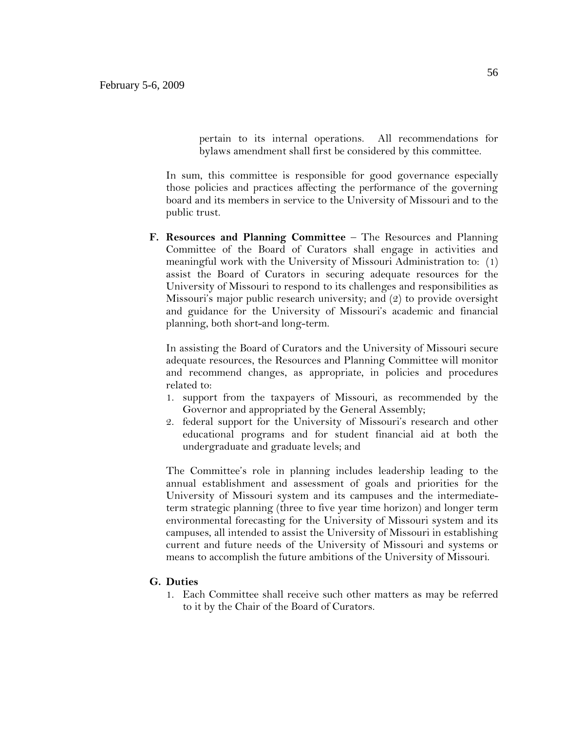pertain to its internal operations. All recommendations for bylaws amendment shall first be considered by this committee.

In sum, this committee is responsible for good governance especially those policies and practices affecting the performance of the governing board and its members in service to the University of Missouri and to the public trust.

**F. Resources and Planning Committee** – The Resources and Planning Committee of the Board of Curators shall engage in activities and meaningful work with the University of Missouri Administration to: (1) assist the Board of Curators in securing adequate resources for the University of Missouri to respond to its challenges and responsibilities as Missouri's major public research university; and (2) to provide oversight and guidance for the University of Missouri's academic and financial planning, both short-and long-term.

In assisting the Board of Curators and the University of Missouri secure adequate resources, the Resources and Planning Committee will monitor and recommend changes, as appropriate, in policies and procedures related to:

- 1. support from the taxpayers of Missouri, as recommended by the Governor and appropriated by the General Assembly;
- 2. federal support for the University of Missouri's research and other educational programs and for student financial aid at both the undergraduate and graduate levels; and

The Committee's role in planning includes leadership leading to the annual establishment and assessment of goals and priorities for the University of Missouri system and its campuses and the intermediateterm strategic planning (three to five year time horizon) and longer term environmental forecasting for the University of Missouri system and its campuses, all intended to assist the University of Missouri in establishing current and future needs of the University of Missouri and systems or means to accomplish the future ambitions of the University of Missouri.

### **G. Duties**

1. Each Committee shall receive such other matters as may be referred to it by the Chair of the Board of Curators.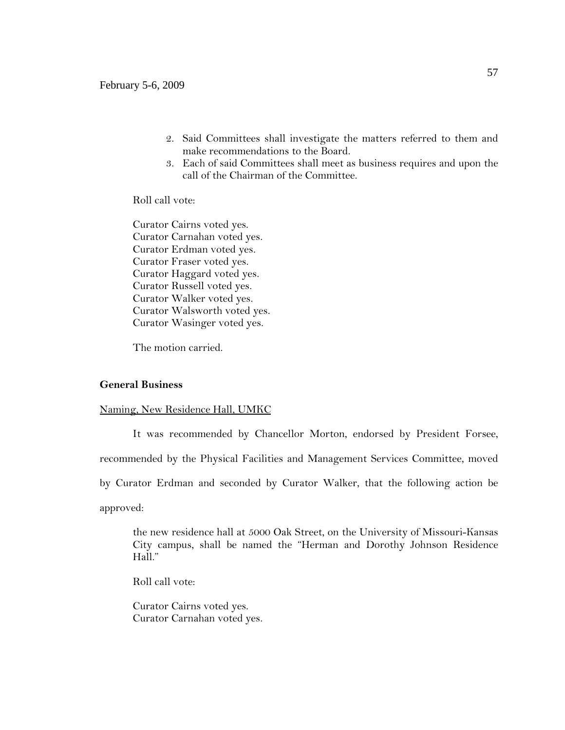- 2. Said Committees shall investigate the matters referred to them and make recommendations to the Board.
- 3. Each of said Committees shall meet as business requires and upon the call of the Chairman of the Committee.

Roll call vote:

Curator Cairns voted yes. Curator Carnahan voted yes. Curator Erdman voted yes. Curator Fraser voted yes. Curator Haggard voted yes. Curator Russell voted yes. Curator Walker voted yes. Curator Walsworth voted yes. Curator Wasinger voted yes.

The motion carried.

### **General Business**

Naming, New Residence Hall, UMKC

It was recommended by Chancellor Morton, endorsed by President Forsee,

recommended by the Physical Facilities and Management Services Committee, moved

by Curator Erdman and seconded by Curator Walker, that the following action be

approved:

the new residence hall at 5000 Oak Street, on the University of Missouri-Kansas City campus, shall be named the "Herman and Dorothy Johnson Residence Hall."

Roll call vote:

Curator Cairns voted yes. Curator Carnahan voted yes.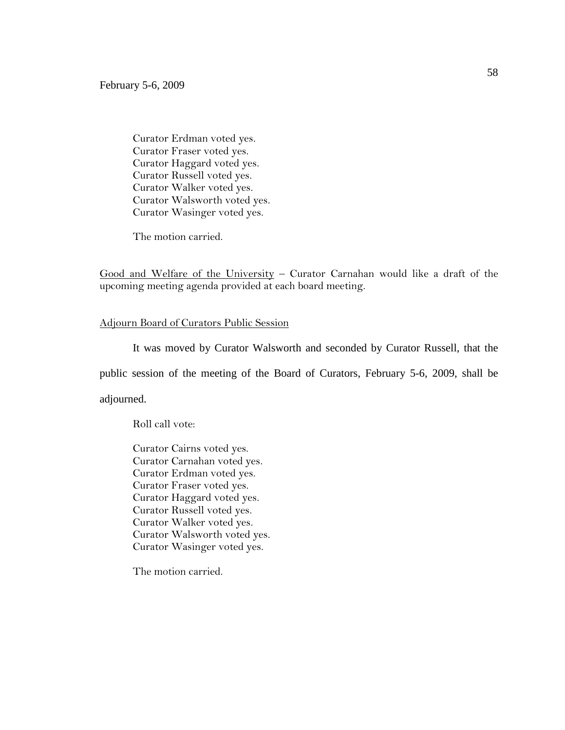Curator Erdman voted yes. Curator Fraser voted yes. Curator Haggard voted yes. Curator Russell voted yes. Curator Walker voted yes. Curator Walsworth voted yes. Curator Wasinger voted yes.

The motion carried.

Good and Welfare of the University – Curator Carnahan would like a draft of the upcoming meeting agenda provided at each board meeting.

### Adjourn Board of Curators Public Session

It was moved by Curator Walsworth and seconded by Curator Russell, that the public session of the meeting of the Board of Curators, February 5-6, 2009, shall be adjourned.

Roll call vote:

Curator Cairns voted yes. Curator Carnahan voted yes. Curator Erdman voted yes. Curator Fraser voted yes. Curator Haggard voted yes. Curator Russell voted yes. Curator Walker voted yes. Curator Walsworth voted yes. Curator Wasinger voted yes.

The motion carried.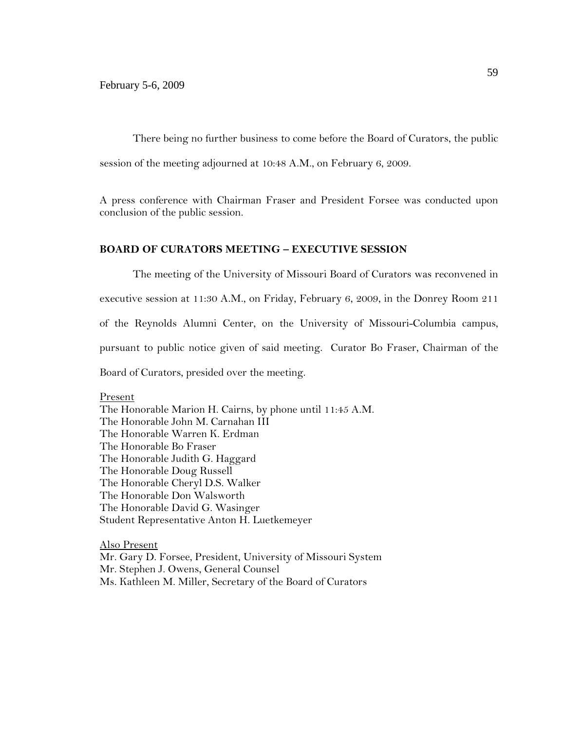There being no further business to come before the Board of Curators, the public session of the meeting adjourned at 10:48 A.M., on February 6, 2009.

A press conference with Chairman Fraser and President Forsee was conducted upon conclusion of the public session.

### **BOARD OF CURATORS MEETING – EXECUTIVE SESSION**

The meeting of the University of Missouri Board of Curators was reconvened in executive session at 11:30 A.M., on Friday, February 6, 2009, in the Donrey Room 211 of the Reynolds Alumni Center, on the University of Missouri-Columbia campus, pursuant to public notice given of said meeting. Curator Bo Fraser, Chairman of the Board of Curators, presided over the meeting.

Present The Honorable Marion H. Cairns, by phone until 11:45 A.M. The Honorable John M. Carnahan III The Honorable Warren K. Erdman The Honorable Bo Fraser The Honorable Judith G. Haggard The Honorable Doug Russell The Honorable Cheryl D.S. Walker The Honorable Don Walsworth The Honorable David G. Wasinger Student Representative Anton H. Luetkemeyer

Also Present Mr. Gary D. Forsee, President, University of Missouri System Mr. Stephen J. Owens, General Counsel Ms. Kathleen M. Miller, Secretary of the Board of Curators